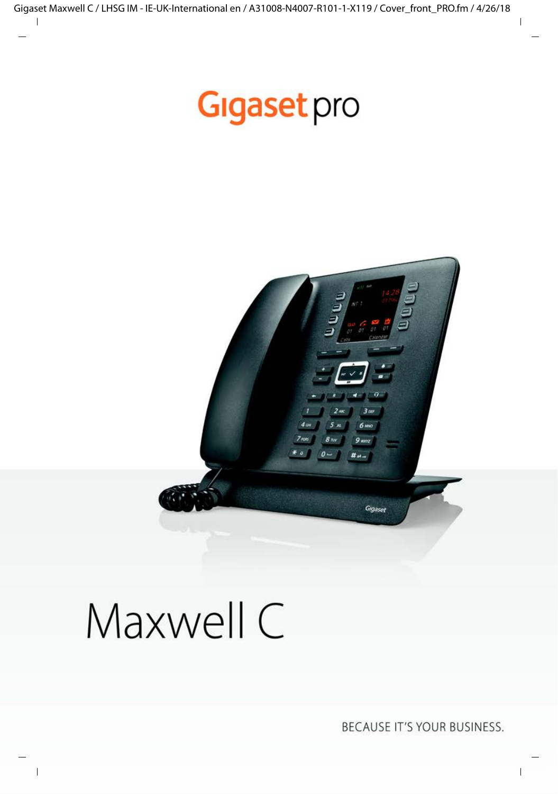## **Gigaset** pro



# Maxwell C

BECAUSE IT'S YOUR BUSINESS.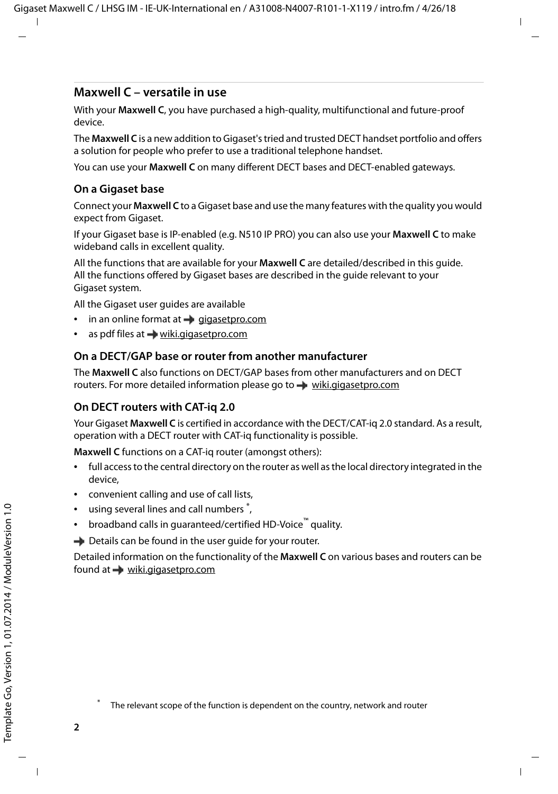#### **Maxwell C – versatile in use**

With your **Maxwell C**, you have purchased a high-quality, multifunctional and future-proof device.

The **Maxwell C** is a new addition to Gigaset's tried and trusted DECT handset portfolio and offers a solution for people who prefer to use a traditional telephone handset.

You can use your **Maxwell C** on many different DECT bases and DECT-enabled gateways.

#### **On a Gigaset base**

Connect your **Maxwell C** to a Gigaset base and use the many features with the quality you would expect from Gigaset.

If your Gigaset base is IP-enabled (e.g. N510 IP PRO) you can also use your **Maxwell C** to make wideband calls in excellent quality.

All the functions that are available for your **Maxwell C** are detailed/described in this guide. All the functions offered by Gigaset bases are described in the guide relevant to your Gigaset system.

All the Gigaset user guides are available

- in an online format at  $\rightarrow$  [gigasetpro.com](http://www.gigasetpro.com)
- as pdf files at  $\rightarrow$  [wiki.gigasetpro.com](http://wiki.gigasetpro.com)

#### **On a DECT/GAP base or router from another manufacturer**

The **Maxwell C** also functions on DECT/GAP bases from other manufacturers and on DECT routers. For more detailed information please go to  $\rightarrow$  [wiki.gigasetpro.com](http://wiki.gigasetpro.com)

#### **On DECT routers with CAT-iq 2.0**

Your Gigaset **Maxwell C** is certified in accordance with the DECT/CAT-iq 2.0 standard. As a result, operation with a DECT router with CAT-iq functionality is possible.

**Maxwell C** functions on a CAT-iq router (amongst others):

- full access to the central directory on the router as well as the local directory integrated in the device,
- convenient calling and use of call lists,
- using several lines and call numbers<sup>\*</sup>,
- broadband calls in guaranteed/certified HD-Voice™ quality.

**→** Details can be found in the user quide for your router.

Detailed information on the functionality of the **Maxwell C** on various bases and routers can be found at  $\rightarrow$  [wiki.gigasetpro.com](http://wiki.gigasetpro.com)

The relevant scope of the function is dependent on the country, network and router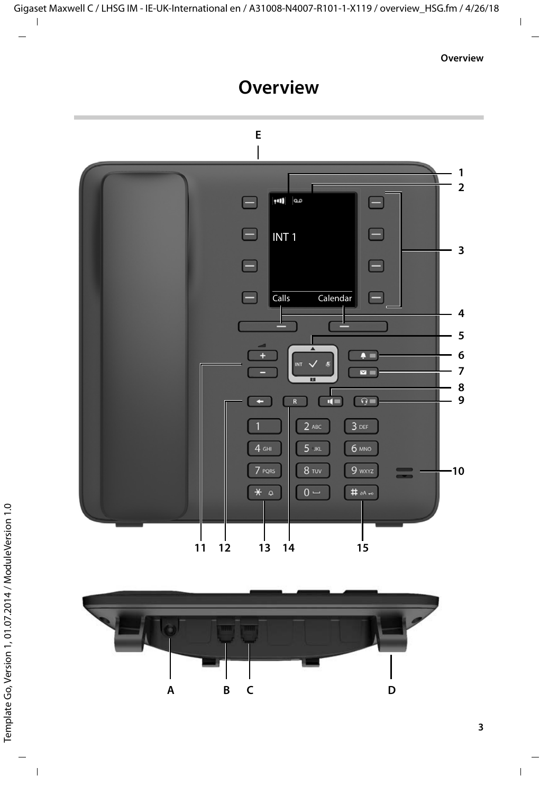### **Overview**

<span id="page-2-0"></span>



**3**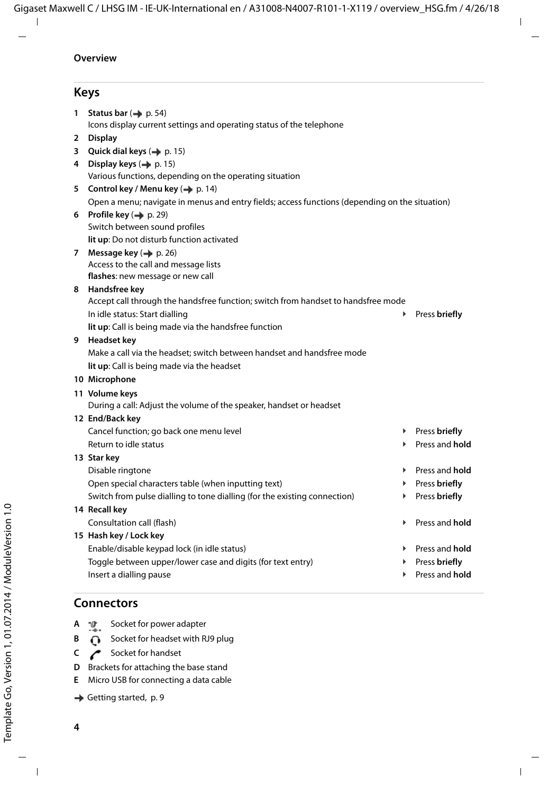#### **Keys**

<span id="page-3-16"></span><span id="page-3-14"></span><span id="page-3-11"></span><span id="page-3-10"></span><span id="page-3-7"></span><span id="page-3-5"></span><span id="page-3-4"></span><span id="page-3-3"></span><span id="page-3-2"></span>**1 Status bar (** $\rightarrow$  **[p. 54\)](#page-53-0)** Icons display current settings and operating status of the telephone **2 Display 3** Quick dial keys ( $\rightarrow$  [p. 15\)](#page-14-0) **4** Display keys ( $\rightarrow$  [p. 15](#page-14-1)) Various functions, depending on the operating situation **5** Control key / Menu key ( $\rightarrow$  [p. 14](#page-13-0)) Open a menu; navigate in menus and entry fields; access functions (depending on the situation) **6** Profile key ( $\rightarrow$  [p. 29\)](#page-28-0) Switch between sound profiles **lit up**: Do not disturb function activated **7** Message key ( $\rightarrow$  [p. 26\)](#page-25-0) Access to the call and message lists **flashes**: new message or new call **8 Handsfree key** Accept call through the handsfree function; switch from handset to handsfree mode In idle status: Start dialling ¥ Press **briefly lit up**: Call is being made via the handsfree function **9 Headset key**  Make a call via the headset; switch between handset and handsfree mode **lit up**: Call is being made via the headset **10 Microphone 11 Volume keys** During a call: Adjust the volume of the speaker, handset or headset **12 End/Back key** Cancel function; go back one menu level  $\overrightarrow{P}$  Press **briefly**<br>Return to idle status **Return to idle status 13 Star key Disable ringtone** ★ Press and **hold** Open special characters table (when inputting text) → Press **briefly** Switch from pulse dialling to tone dialling (for the existing connection) **Fig. 2** Press **briefly 14 Recall key** Consultation call (flash) ¥ Press and **hold 15 Hash key / Lock key** Enable/disable keypad lock (in idle status) ¥ Press and **hold** Toggle between upper/lower case and digits (for text entry) **Accord 1999 Field Field Press briefly**<br>Insert a dialling pause **by Press and hold** Insert a dialling pause

#### <span id="page-3-13"></span><span id="page-3-12"></span><span id="page-3-9"></span><span id="page-3-8"></span><span id="page-3-6"></span><span id="page-3-0"></span>**Connectors**

- **A**  $\mathbf{D}$  Socket for power adapter
- <span id="page-3-1"></span>**B**  $\bigcap$  Socket for headset with RJ9 plug
- **C** Socket for handset
- <span id="page-3-15"></span>**D** Brackets for attaching the base stand
- **E** Micro USB for connecting a data cable
- [Getting started,](#page-8-0) [p.](#page-8-0) 9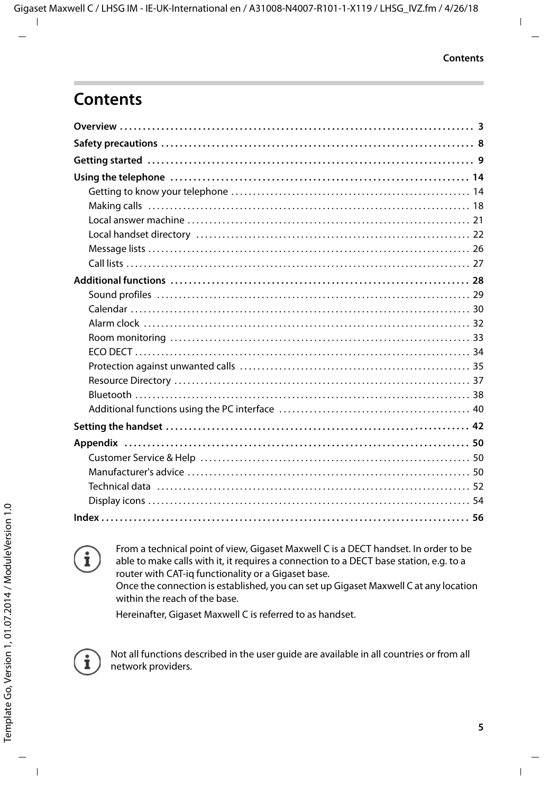### **Contents**



From a technical point of view, Gigaset Maxwell C is a DECT handset. In order to be able to make calls with it, it requires a connection to a DECT base station, e.g. to a router with CAT-iq functionality or a Gigaset base. Once the connection is established, you can set up Gigaset Maxwell C at any location within the reach of the base.

Hereinafter, Gigaset Maxwell C is referred to as handset.



Not all functions described in the user guide are available in all countries or from all network providers.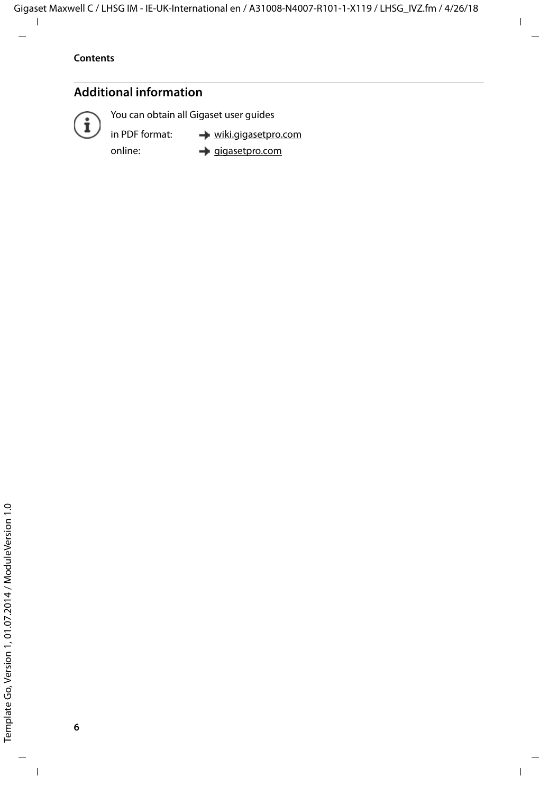#### **Additional information**



You can obtain all Gigaset user guides

in PDF format:

online:

 [wiki.gigasetpro.com](http://wiki.gigasetpro.com) [gigasetpro.com](http://www.gigasetpro.com)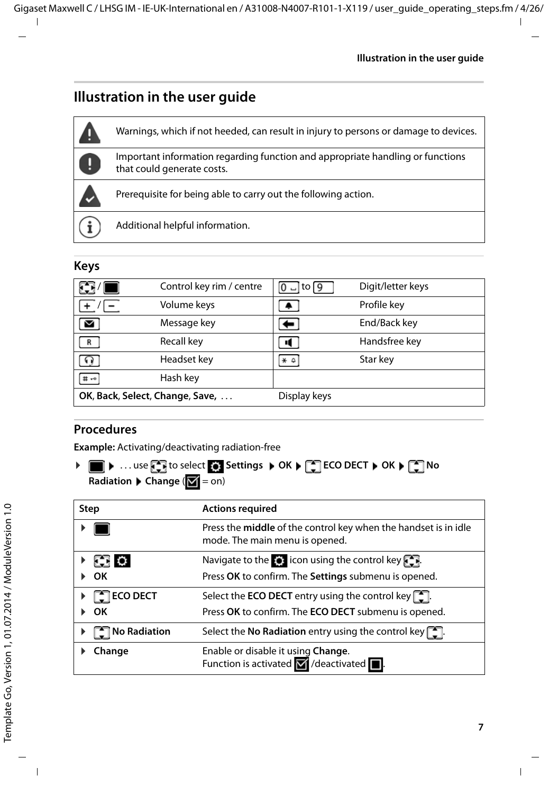### **Illustration in the user guide**



#### **Keys**

| $\mathbf{F}$                    | Control key rim / centre | $ 0 $ – to $ 9 $ | Digit/letter keys |
|---------------------------------|--------------------------|------------------|-------------------|
| $+$                             | Volume keys              |                  | Profile key       |
| M                               | Message key              |                  | End/Back key      |
| R                               | Recall key               |                  | Handsfree key     |
|                                 | Headset key              | $*$ $\circ$      | Star key          |
| <b>II</b> +0                    | Hash key                 |                  |                   |
| OK, Back, Select, Change, Save, |                          | Display keys     |                   |

#### **Procedures**

**Example:** Activating/deactivating radiation-free

**▶ ■ ▶ ... use Co** to select  $\bullet$  Settings ▶ OK ▶  $\bullet$  ECO DECT ▶ OK ▶  $\bullet$  No **Radiation Change** ( $\mathbf{V} = \text{on}$ )

| Step                                                  | <b>Actions required</b>                                                                                                  |
|-------------------------------------------------------|--------------------------------------------------------------------------------------------------------------------------|
|                                                       | Press the middle of the control key when the handset is in idle<br>mode. The main menu is opened.                        |
| <b>SERIO</b><br>OK                                    | Navigate to the $\bullet$ icon using the control key $\bullet$ .<br>Press OK to confirm. The Settings submenu is opened. |
| $\triangleright$ $\lceil \frac{1}{2} \rceil$ ECO DECT | Select the <b>ECO DECT</b> entry using the control key $\begin{bmatrix} 1 \\ 2 \end{bmatrix}$ .                          |
| OK                                                    | Press OK to confirm. The ECO DECT submenu is opened.                                                                     |
| <b>No Radiation</b>                                   | Select the No Radiation entry using the control key $\lceil \cdot \rceil$ .                                              |
| Change                                                | Enable or disable it using Change.<br>Function is activated $\blacksquare$ /deactivated $\blacksquare$ .                 |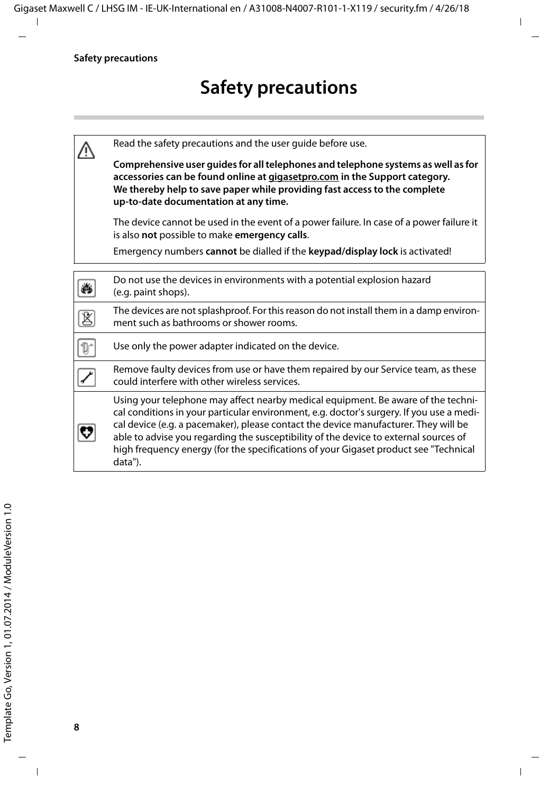|   | Read the safety precautions and the user quide before use.                                                                                                                                                                                                                                                                                                                                                                                                      |
|---|-----------------------------------------------------------------------------------------------------------------------------------------------------------------------------------------------------------------------------------------------------------------------------------------------------------------------------------------------------------------------------------------------------------------------------------------------------------------|
|   | Comprehensive user guides for all telephones and telephone systems as well as for<br>accessories can be found online at gigasetpro.com in the Support category.<br>We thereby help to save paper while providing fast access to the complete<br>up-to-date documentation at any time.                                                                                                                                                                           |
|   | The device cannot be used in the event of a power failure. In case of a power failure it<br>is also not possible to make emergency calls.                                                                                                                                                                                                                                                                                                                       |
|   | Emergency numbers cannot be dialled if the keypad/display lock is activated!                                                                                                                                                                                                                                                                                                                                                                                    |
|   | Do not use the devices in environments with a potential explosion hazard<br>(e.g. paint shops).                                                                                                                                                                                                                                                                                                                                                                 |
| K | The devices are not splashproof. For this reason do not install them in a damp environ-<br>ment such as bathrooms or shower rooms.                                                                                                                                                                                                                                                                                                                              |
|   | Use only the power adapter indicated on the device.                                                                                                                                                                                                                                                                                                                                                                                                             |
|   | Remove faulty devices from use or have them repaired by our Service team, as these<br>could interfere with other wireless services.                                                                                                                                                                                                                                                                                                                             |
|   | Using your telephone may affect nearby medical equipment. Be aware of the techni-<br>cal conditions in your particular environment, e.g. doctor's surgery. If you use a medi-<br>cal device (e.g. a pacemaker), please contact the device manufacturer. They will be<br>able to advise you regarding the susceptibility of the device to external sources of<br>high frequency energy (for the specifications of your Gigaset product see "Technical<br>data"). |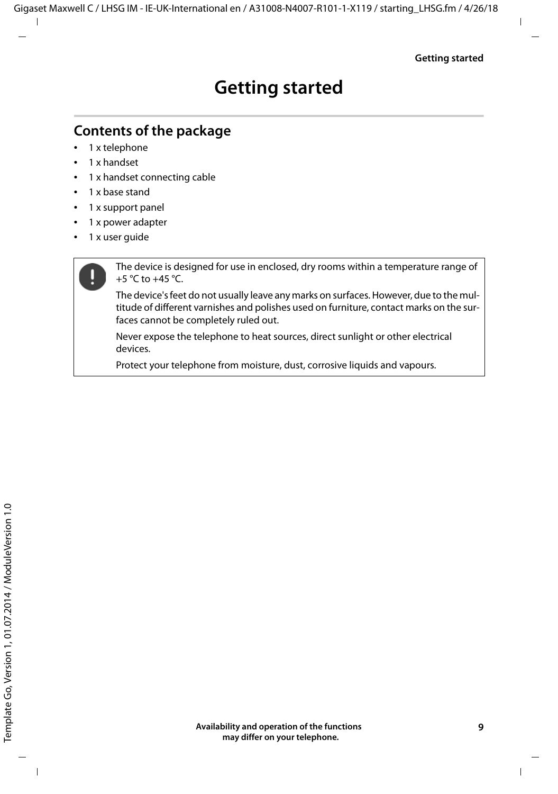### <span id="page-8-2"></span><span id="page-8-1"></span><span id="page-8-0"></span>**Contents of the package**

- 1 x telephone
- 1 x handset
- 1 x handset connecting cable
- 1 x base stand
- 1 x support panel
- 1 x power adapter
- 1 x user quide

The device is designed for use in enclosed, dry rooms within a temperature range of +5 °C to +45 °C.

The device's feet do not usually leave any marks on surfaces. However, due to the multitude of different varnishes and polishes used on furniture, contact marks on the surfaces cannot be completely ruled out.

Never expose the telephone to heat sources, direct sunlight or other electrical devices.

Protect your telephone from moisture, dust, corrosive liquids and vapours.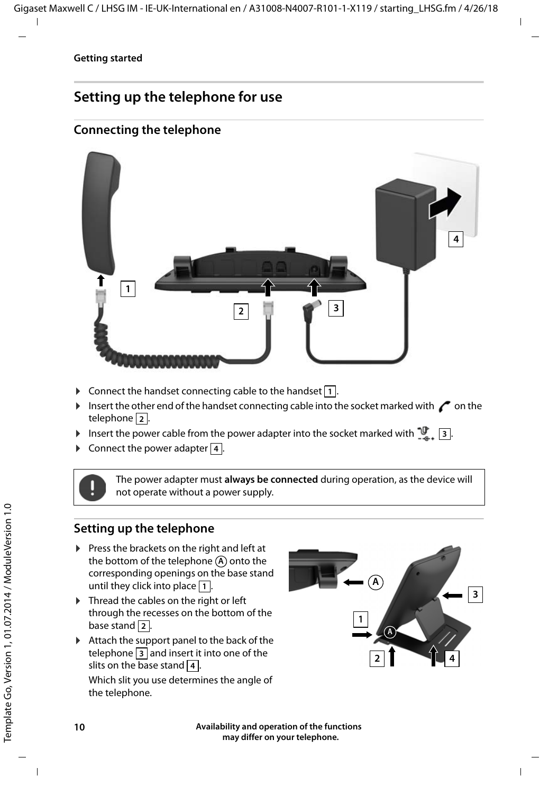### **Setting up the telephone for use**

#### <span id="page-9-4"></span>**Connecting the telephone**



- <span id="page-9-1"></span> $\triangleright$  Connect the handset connecting cable to the handset  $\boxed{1}$ .
- Insert the other end of the handset connecting cable into the socket marked with  $\curvearrowleft$  on the telephone . **2**
- <span id="page-9-2"></span><span id="page-9-0"></span>**I** Insert the power cable from the power adapter into the socket marked with  $\frac{10}{26}$ ,  $\frac{13}{2}$ .
- **EXECUTE:** Connect the power adapter 4.

The power adapter must **always be connected** during operation, as the device will not operate without a power supply.

#### <span id="page-9-5"></span>**Setting up the telephone**

- $\blacktriangleright$  Press the brackets on the right and left at the bottom of the telephone  $\left(\mathbf{A}\right)$  onto the corresponding openings on the base stand until they click into place  $|1|$ .
- $\triangleright$  Thread the cables on the right or left through the recesses on the bottom of the base stand 2.
- $\blacktriangleright$  Attach the support panel to the back of the  $t$ elephone  $3$  and insert it into one of the slits on the base stand  $\vert$  4.

<span id="page-9-3"></span>Which slit you use determines the angle of the telephone.



**Availability and operation of the functions may differ on your telephone.**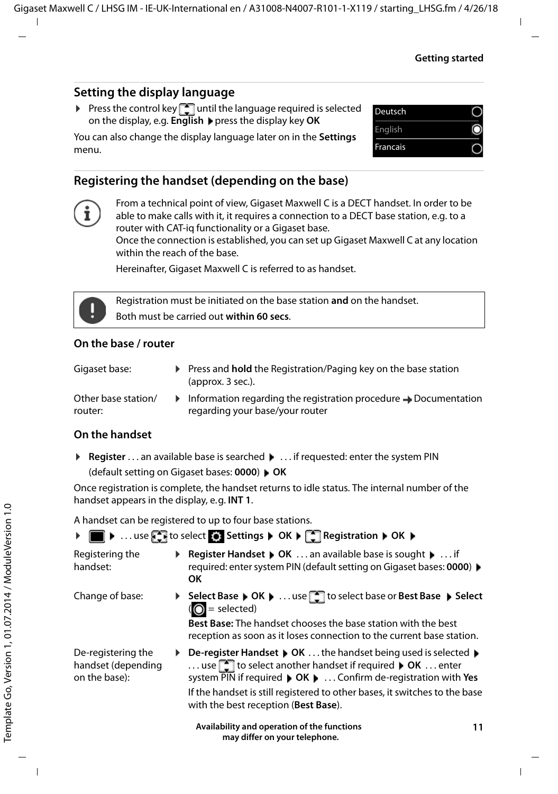#### **Setting the display language**

<span id="page-10-1"></span>Press the control key  $\Box$  until the language required is selected on the display, e.g. **English** press the display key **OK**

You can also change the display language later on in the **Settings** menu.

| Deutsch  |  |
|----------|--|
| English  |  |
| Francais |  |
|          |  |

#### <span id="page-10-2"></span>**Registering the handset (depending on the base)**



From a technical point of view, Gigaset Maxwell C is a DECT handset. In order to be able to make calls with it, it requires a connection to a DECT base station, e.g. to a router with CAT-iq functionality or a Gigaset base. Once the connection is established, you can set up Gigaset Maxwell C at any location within the reach of the base.

Hereinafter, Gigaset Maxwell C is referred to as handset.



Registration must be initiated on the base station **and** on the handset. Both must be carried out **within 60 secs**.

#### **On the base / router**

Press and **hold** the Registration/Paging key on the base station (approx. 3 sec.).

Other base station/ router:

 $\blacktriangleright$  Information regarding the registration procedure  $\blacktriangleright$  Documentation regarding your base/your router

#### **On the handset**

**▶ Register** . . . an available base is searched ▶ . . . if requested: enter the system PIN (default setting on Gigaset bases: **0000**) **OK**

Once registration is complete, the handset returns to idle status. The internal number of the handset appears in the display, e.g. **INT 1**.

A handset can be registered to up to four base stations.

|                                                           |    | ▶ ■ ▶  use < No select < Settings ▶ OK ▶ < Registration ▶ OK ▶                                                                                                                                                                                                                                                                         |
|-----------------------------------------------------------|----|----------------------------------------------------------------------------------------------------------------------------------------------------------------------------------------------------------------------------------------------------------------------------------------------------------------------------------------|
| Registering the<br>handset:                               |    | <b>Register Handset ▶ OK </b> an available base is sought ▶  if<br>required: enter system PIN (default setting on Gigaset bases: 0000) ▶<br>ОΚ                                                                                                                                                                                         |
| Change of base:                                           |    | ▶ Select Base ▶ OK ▶  use [1] to select base or Best Base ▶ Select<br>$\overline{O}$ = selected)<br><b>Best Base:</b> The handset chooses the base station with the best<br>reception as soon as it loses connection to the current base station.                                                                                      |
| De-registering the<br>handset (depending<br>on the base): | Þ. | De-register Handset ▶ OK  the handset being used is selected ▶<br>use $\Box$ to select another handset if required $\triangleright$ OK  enter<br>system PIN if required ▶ OK ▶  Confirm de-registration with Yes<br>If the handset is still registered to other bases, it switches to the base<br>with the best reception (Best Base). |
|                                                           |    | Availability and operation of the functions<br>11                                                                                                                                                                                                                                                                                      |

<span id="page-10-0"></span> **may differ on your telephone.**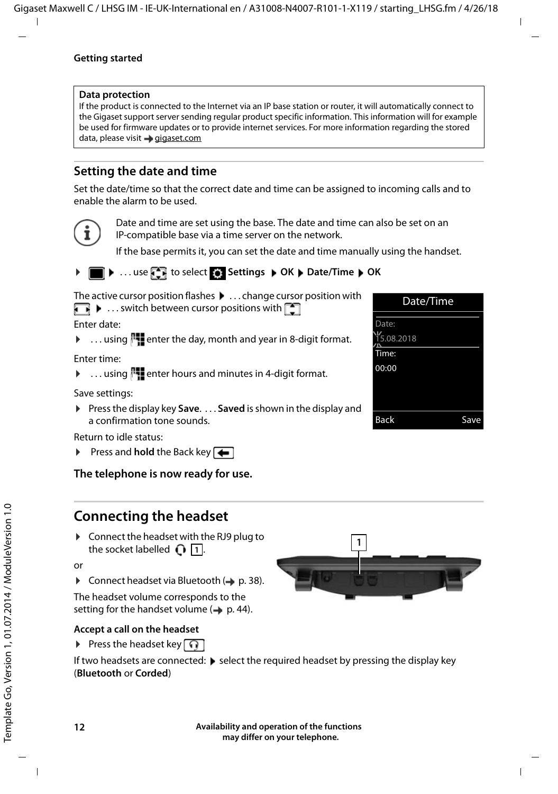#### **Data protection**

If the product is connected to the Internet via an IP base station or router, it will automatically connect to the Gigaset support server sending regular product specific information. This information will for example be used for firmware updates or to provide internet services. For more information regarding the stored data, please visit  $\rightarrow$  [gigaset.com](www.gigaset.com)

#### <span id="page-11-1"></span>**Setting the date and time**

Set the date/time so that the correct date and time can be assigned to incoming calls and to enable the alarm to be used.



Date and time are set using the base. The date and time can also be set on an IP-compatible base via a time server on the network.

If the base permits it, you can set the date and time manually using the handset.

#### $\bullet$  ... use **FB** to select **S** Settings  $\bullet$  OK  $\bullet$  Date/Time  $\bullet$  OK

The active cursor position flashes  $\blacktriangleright$  ... change cursor position with

 $\blacksquare$   $\blacksquare$  ... switch between cursor positions with  $\blacksquare$ 

Enter date:

 $\triangleright$  ... using  $\mathbb{F}$  enter the day, month and year in 8-digit format.

Enter time:

 $\triangleright$  ... using  $\mathbb{F}_2$  enter hours and minutes in 4-digit format.

Save settings:

▶ Press the display key Save. . . . Saved is shown in the display and a confirmation tone sounds.

Return to idle status:

**Press and hold** the Back key

**The telephone is now ready for use.** 

#### **Connecting the headset**

<span id="page-11-0"></span>▶ Connect the headset with the RJ9 plug to the socket labelled  $\bigcap_{n=1}^{\infty}$ .

or

 $\triangleright$  Connect headset via Bluetooth ( $\rightarrow$  [p. 38\)](#page-37-1).

The headset volume corresponds to the setting for the handset volume  $($   $\rightarrow$  p. [44\)](#page-43-0).

#### **Accept a call on the headset**

Press the headset key  $\Omega$ 

If two headsets are connected:  $\triangleright$  select the required headset by pressing the display key (**Bluetooth** or **Corded**)



Date/Time

Back Save

Date: 15.08.2018 Time: 00:00

| Availability and operation of the functions |
|---------------------------------------------|
| may differ on your telephone.               |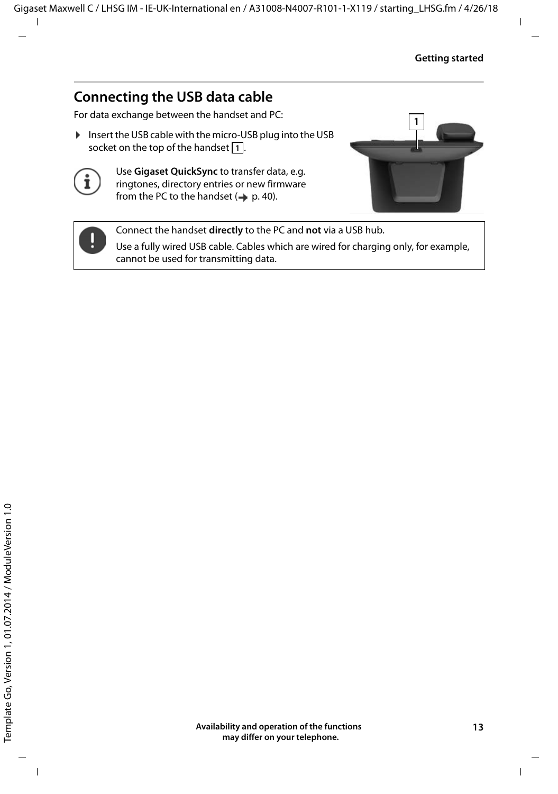### <span id="page-12-0"></span>**Connecting the USB data cable**

For data exchange between the handset and PC:

▶ Insert the USB cable with the micro-USB plug into the USB socket on the top of the handset <mark>1.</mark>.



Use **Gigaset QuickSync** to transfer data, e.g. ringtones, directory entries or new firmware from the PC to the handset  $($   $\rightarrow$  [p. 40\)](#page-39-1).





Connect the handset **directly** to the PC and **not** via a USB hub.

Use a fully wired USB cable. Cables which are wired for charging only, for example, cannot be used for transmitting data.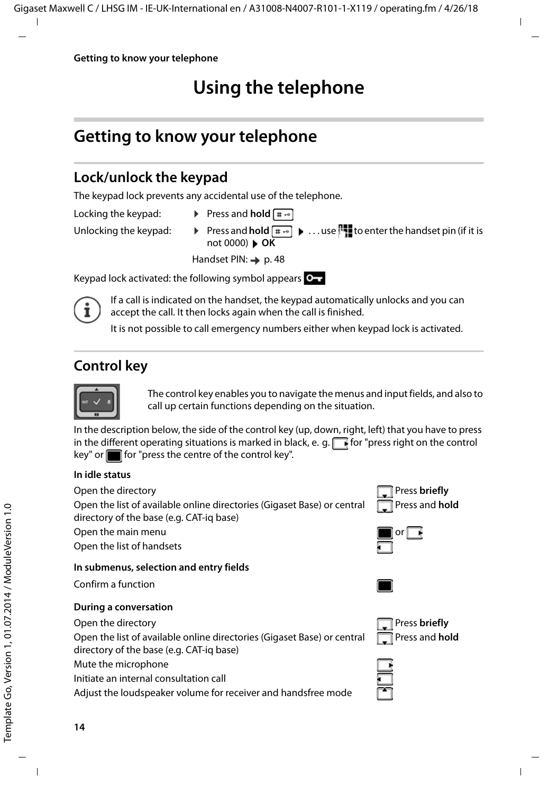### <span id="page-13-5"></span>**Using the telephone**

### <span id="page-13-2"></span><span id="page-13-1"></span>**Getting to know your telephone**

### <span id="page-13-4"></span>**Lock/unlock the keypad**

The keypad lock prevents any accidental use of the telephone.

- 
- Locking the keypad:  $\triangleright$  Press and **hold**  $\overline{a} \cdot \overline{b}$
- 
- 
- Unlocking the keypad:  $\longrightarrow$  Press and **hold**  $\begin{bmatrix} + & \cdot \\ + & \cdot \end{bmatrix}$ ... use  $\begin{bmatrix} + & \cdot \\ + & \cdot \end{bmatrix}$  to enter the handset pin (if it is not 0000) **OK**

Handset PIN: + p. [48](#page-47-0)

Keypad lock activated: the following symbol appears  $\bullet$ 

If a call is indicated on the handset, the keypad automatically unlocks and you can accept the call. It then locks again when the call is finished.

It is not possible to call emergency numbers either when keypad lock is activated.

### <span id="page-13-0"></span>**Control key**



The control key enables you to navigate the menus and input fields, and also to call up certain functions depending on the situation.

In the description below, the side of the control key (up, down, right, left) that you have to press in the different operating situations is marked in black, e. g.  $\Box$  for "press right on the control  $key"$  or  $f$  for "press the centre of the control key".

#### **In idle status**

Open the directory **Press briefly** 

Open the list of available online directories (Gigaset Base) or central directory of the base (e.g. CAT-iq base)

<span id="page-13-3"></span>Open the main menu

Open the list of handsets

#### **In submenus, selection and entry fields**

Confirm a function

#### **During a conversation**

Open the directory **Press briefly** 

Open the list of available online directories (Gigaset Base) or central directory of the base (e.g. CAT-iq base)

Mute the microphone

Initiate an internal consultation call

Adjust the loudspeaker volume for receiver and handsfree mode









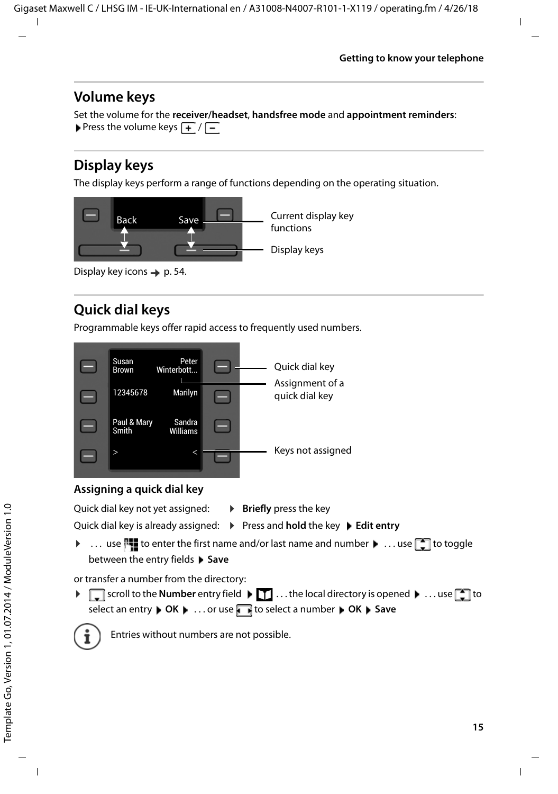#### <span id="page-14-2"></span>**Volume keys**

Set the volume for the **receiver/headset**, **handsfree mode** and **appointment reminders**: Press the volume keys  $\boxed{+}$  / $\boxed{-}$ 

### <span id="page-14-1"></span>**Display keys**

The display keys perform a range of functions depending on the operating situation.



Display key icons  $\rightarrow$  [p. 54](#page-53-2).

### <span id="page-14-0"></span>**Quick dial keys**

<span id="page-14-3"></span>Programmable keys offer rapid access to frequently used numbers.



#### **Assigning a quick dial key**

<span id="page-14-4"></span>Quick dial key not yet assigned: **Example 1 Briefly** press the key

Quick dial key is already assigned:  $\triangleright$  Press and **hold** the key  $\triangleright$  **Edit entry** 

 $\triangleright$  ... use  $\mathbb{F}_1$  to enter the first name and/or last name and number  $\triangleright$  ... use  $\Box$  to toggle between the entry fields **Save** 

or transfer a number from the directory:

▶ scroll to the **Number** entry field ▶ T ... the local directory is opened ▶ ... use to select an entry  $\triangleright$  OK  $\triangleright$  ... or use **the select a number**  $\triangleright$  **OK**  $\triangleright$  Save



Entries without numbers are not possible.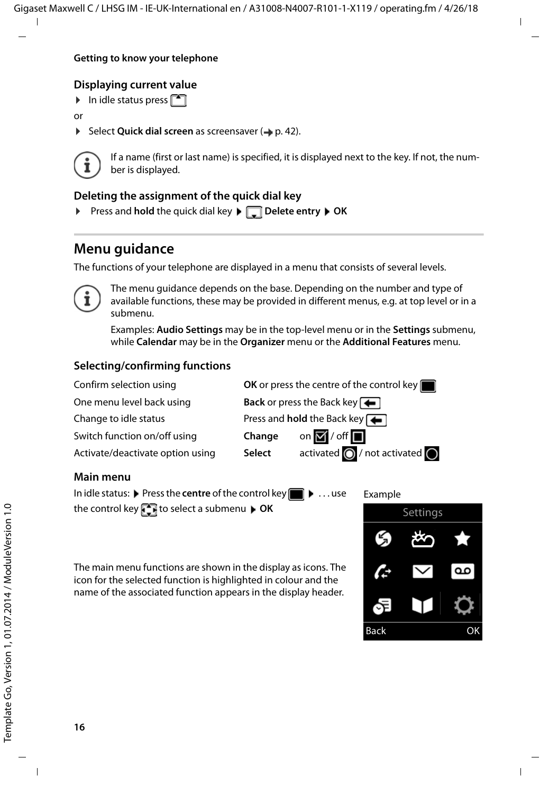#### <span id="page-15-1"></span>**Displaying current value**

 $\blacktriangleright$  In idle status press

or

▶ Select **Quick dial screen** as screensaver (→ [p. 42\)](#page-41-1).



<span id="page-15-0"></span>If a name (first or last name) is specified, it is displayed next to the key. If not, the number is displayed.

#### **Deleting the assignment of the quick dial key**

▶ Press and **hold** the quick dial key ▶ □ **Delete entry ▶ OK** 

### **Menu guidance**

The functions of your telephone are displayed in a menu that consists of several levels.



The menu guidance depends on the base. Depending on the number and type of available functions, these may be provided in different menus, e.g. at top level or in a submenu.

Examples: **Audio Settings** may be in the top-level menu or in the **Settings** submenu, while **Calendar** may be in the **Organizer** menu or the **Additional Features** menu.

#### **Selecting/confirming functions**



the control key **the select** a submenu **DK** 

The main menu functions are shown in the display as icons. The icon for the selected function is highlighted in colour and the name of the associated function appears in the display header.

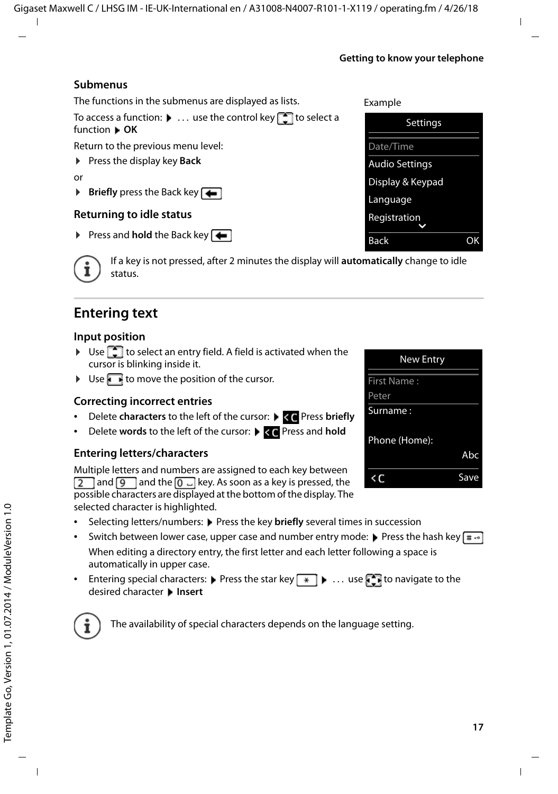**17**

#### **Getting to know your telephone**

#### **Submenus**

The functions in the submenus are displayed as lists.

To access a function:  $\blacktriangleright$  ... use the control key  $\lceil \cdot \rceil$  to select a function **OK**

Return to the previous menu level:

▶ Press the display key **Back** 

or

 $\triangleright$  **Briefly** press the Back key

#### <span id="page-16-4"></span>**Returning to idle status**

**Press and hold** the Back key  $\leftarrow$ 

<span id="page-16-1"></span>If a key is not pressed, after 2 minutes the display will **automatically** change to idle status.

### **Entering text**

#### **Input position**

- $\triangleright$  Use  $\lceil \cdot \cdot \rceil$  to select an entry field. A field is activated when the cursor is blinking inside it.
- $\triangleright$  Use  $\blacksquare$  to move the position of the cursor.

#### <span id="page-16-0"></span>**Correcting incorrect entries**

- **Delete characters** to the left of the cursor:  $\triangleright$  < < Press briefly
- **Delete words** to the left of the cursor:  $\blacktriangleright$  <<< Press and **hold**

#### **Entering letters/characters**

Multiple letters and numbers are assigned to each key between  $\boxed{2}$  and  $\boxed{9}$  and the  $\boxed{0}$   $\boxed{0}$  key. As soon as a key is pressed, the possible characters are displayed at the bottom of the display. The selected character is highlighted.

- Selecting letters/numbers: Press the key **briefly** several times in succession
- <span id="page-16-6"></span><span id="page-16-5"></span>Switch between lower case, upper case and number entry mode:  $\triangleright$  Press the hash key  $\sharp \rightarrow$ When editing a directory entry, the first letter and each letter following a space is automatically in upper case.
- <span id="page-16-2"></span>Entering special characters:  $\blacktriangleright$  Press the star key  $\blacktriangleright$   $\ldots$  use  $\blacktriangleright$  to navigate to the desired character **Insert**

<span id="page-16-3"></span>



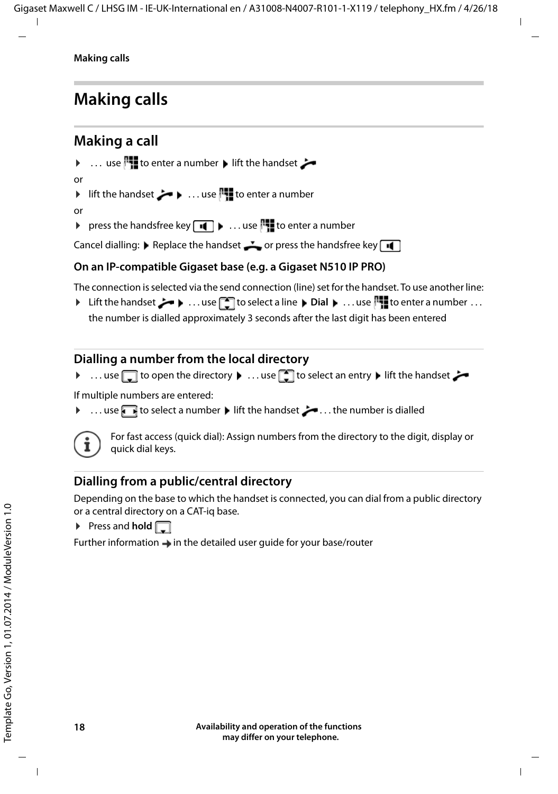### <span id="page-17-0"></span>**Making calls**

### <span id="page-17-1"></span>**Making a call**

- ▶ ... use  $\mathbb{F}$  to enter a number  $\blacktriangleright$  lift the handset
- or
- ▶ lift the handset ... use **the fillul** to enter a number

or

<span id="page-17-3"></span>▶ press the handsfree key  $\blacksquare$  ▶ ... use  $\blacksquare$  to enter a number

Cancel dialling:  $\blacktriangleright$  Replace the handset  $\blacktriangleright$  or press the handsfree key  $\blacksquare$ 

#### **On an IP-compatible Gigaset base (e.g. a Gigaset N510 IP PRO)**

The connection is selected via the send connection (line) set for the handset. To use another line:

**▶** Lift the handset  $\rightarrow$   $\cdots$  use  $\begin{bmatrix} 1 \end{bmatrix}$  to select a line  $\rightarrow$  Dial  $\cdots$  use  $\begin{bmatrix} 1 \end{bmatrix}$  to enter a number  $\cdots$ the number is dialled approximately 3 seconds after the last digit has been entered

#### <span id="page-17-2"></span>**Dialling a number from the local directory**

▶ ...use do open the directory ▶ ...use do select an entry ▶ lift the handset

If multiple numbers are entered:

... use to select a number  $\blacktriangleright$  lift the handset  $\blacktriangleright$  ... the number is dialled



<span id="page-17-4"></span>For fast access (quick dial): Assign numbers from the directory to the digit, display or quick dial keys.

#### **Dialling from a public/central directory**

Depending on the base to which the handset is connected, you can dial from a public directory or a central directory on a CAT-iq base.

 $\triangleright$  Press and **hold**  $\triangleright$ 

Further information  $\rightarrow$  in the detailed user guide for your base/router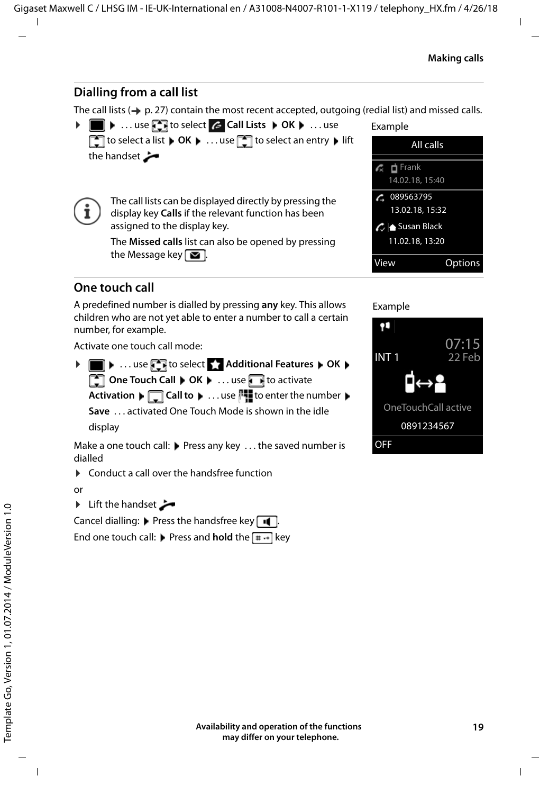#### <span id="page-18-1"></span>**Dialling from a call list**

<span id="page-18-0"></span>The call lists  $(4)$  p. [27\)](#page-26-1) contain the most recent accepted, outgoing (redial list) and missed calls.

 $\triangleright \blacksquare$  ... use **T** to select *C* Call Lists  $\triangleright$  OK  $\triangleright$  ... use **to select a list ▶ OK ▶ ... use the select an entry ▶ lift** the handset



The call lists can be displayed directly by pressing the display key **Calls** if the relevant function has been assigned to the display key.

The **Missed calls** list can also be opened by pressing the Message key  $\boxed{\blacksquare}$ .



View Options

#### **One touch call**

A predefined number is dialled by pressing **any** key. This allows children who are not yet able to enter a number to call a certain number, for example.

Activate one touch call mode:

**▶ ■ ▶ ...use to select Additional Features ▶ OK ▶ Come Touch Call**  $\triangleright$  **OK**  $\triangleright$  ... use to activate **Activation**  $\blacktriangleright \Box$  **Call to**  $\blacktriangleright \ldots$  use  $\blacktriangleright \blacksquare$  to enter the number  $\blacktriangleright$ **Save** . . . activated One Touch Mode is shown in the idle display

Make a one touch call:  $\blacktriangleright$  Press any key ... the saved number is dialled

 $\triangleright$  Conduct a call over the handsfree function

or

 $\blacktriangleright$  Lift the handset  $\blacktriangleright$ 

Cancel dialling:  $\blacktriangleright$  Press the handsfree key  $\blacksquare$ 

End one touch call: **P** Press and **hold** the  $\left[\begin{array}{cc} \text{#} & \text{-} \\ \text{#} & \text{-} \end{array}\right]$  key

Example

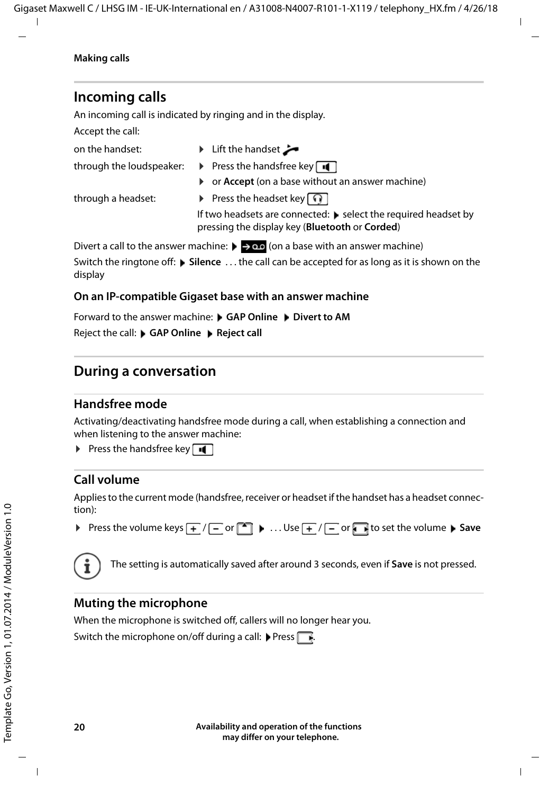### **Incoming calls**

An incoming call is indicated by ringing and in the display.

Accept the call:

- on the handset:  $\longrightarrow$  Lift the handset
- 
- through the loudspeaker:  $\rightarrow$  Press the handsfree key
	- ▶ or **Accept** (on a base without an answer machine)

through a headset: **•** Press the headset key  $\widehat{\mathbb{Q}}$ 

If two headsets are connected:  $\blacktriangleright$  select the required headset by pressing the display key (**Bluetooth** or **Corded**)

Divert a call to the answer machine:  $\rightarrow \infty$  (on a base with an answer machine)

Switch the ringtone off: **Silence** . . . the call can be accepted for as long as it is shown on the display

#### **On an IP-compatible Gigaset base with an answer machine**

Forward to the answer machine: **GAP Online Divert to AM** 

Reject the call: **GAP Online**  Reject call

### **During a conversation**

#### <span id="page-19-3"></span>**Handsfree mode**

Activating/deactivating handsfree mode during a call, when establishing a connection and when listening to the answer machine:

<span id="page-19-2"></span>**Press the handsfree key**  $\boxed{1}$ 

#### <span id="page-19-0"></span>**Call volume**

Applies to the current mode (handsfree, receiver or headset if the handset has a headset connection):

**▶** Press the volume keys  $\frac{+}{+}$  /  $\frac{ }{ }$  or  $\boxed{\bullet}$  **.** . . Use  $\frac{+}{+}$  /  $\frac{ }{ }$  or  $\boxed{\bullet}$  to set the volume ▶ Save



The setting is automatically saved after around 3 seconds, even if **Save** is not pressed.

#### <span id="page-19-1"></span>**Muting the microphone**

When the microphone is switched off, callers will no longer hear you.

Switch the microphone on/off during a call: Press  $\Box$ .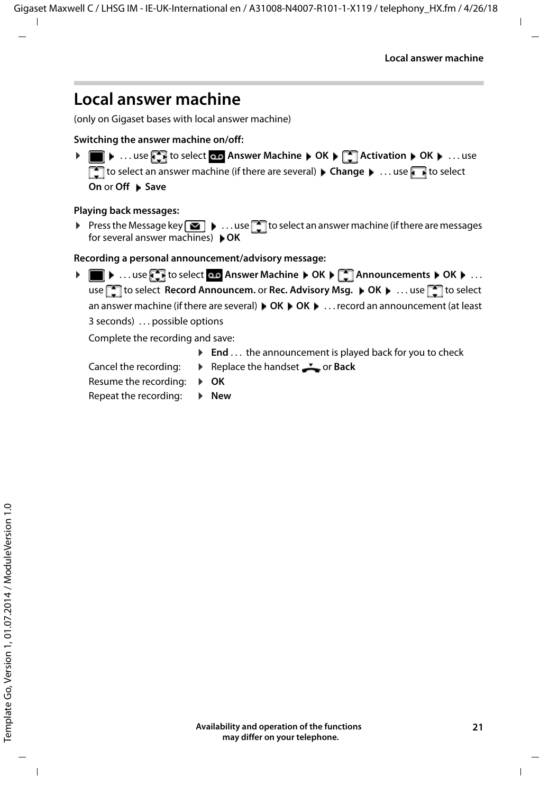### <span id="page-20-1"></span><span id="page-20-0"></span>**Local answer machine**

(only on Gigaset bases with local answer machine)

#### **Switching the answer machine on/off:**

**▶ ■ ▶ ... use to select or Answer Machine ▶ OK ▶ 【 】 Activation ▶ OK ▶ ... use** to select an answer machine (if there are several) **Change b** ... use **the** to select **On or Off ▶ Save** 

#### **Playing back messages:**

Press the Message key  $\boxed{\bullet}$  ... use  $\boxed{\bullet}$  to select an answer machine (if there are messages for several answer machines) **OK**

**Recording a personal announcement/advisory message:**

**▶ ■ ▶ ...use to select on Answer Machine ▶ OK ▶ ■ Announcements ▶ OK ▶ ...** use **the select Record Announcem.** or **Rec. Advisory Msg.**  $\triangleright$  **OK**  $\triangleright$  ... use **the select** an answer machine (if there are several)  $\triangleright$  OK  $\triangleright$  OK  $\triangleright$  ... record an announcement (at least 3 seconds) . . . possible options

Complete the recording and save:

- ▶ End . . . the announcement is played back for you to check
- 
- Cancel the recording:  $\rightarrow$  Replace the handset  $\rightarrow$  or **Back**
- Resume the recording:  $\rightarrow$  **OK**

Repeat the recording:  $\rightarrow$  **New** 

**Availability and operation of the functions may differ on your telephone.**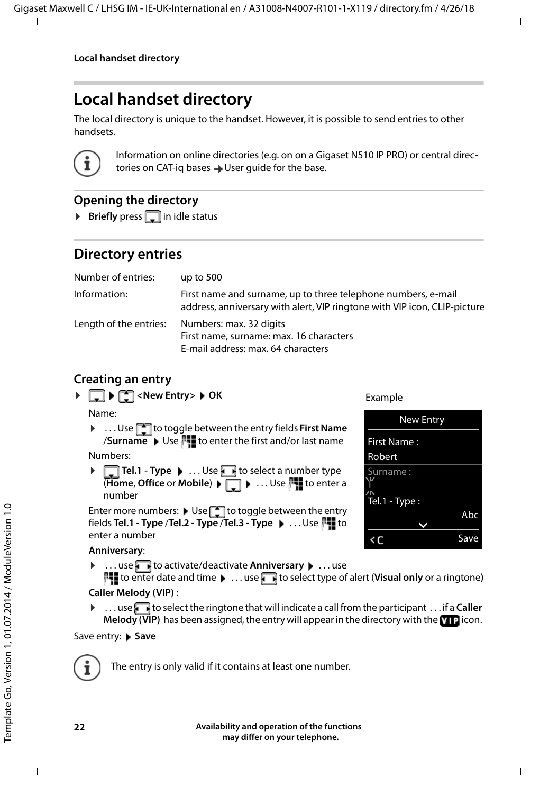### <span id="page-21-0"></span>**Local handset directory**

<span id="page-21-1"></span>The local directory is unique to the handset. However, it is possible to send entries to other handsets.



Information on online directories (e.g. on on a Gigaset N510 IP PRO) or central directories on CAT-iq bases  $\rightarrow$  User quide for the base.

#### <span id="page-21-3"></span>**Opening the directory**

**Briefly** press in idle status

### <span id="page-21-2"></span>**Directory entries**

| Number of entries:     | up to $500$                                                                                                                                |
|------------------------|--------------------------------------------------------------------------------------------------------------------------------------------|
| Information:           | First name and surname, up to three telephone numbers, e-mail<br>address, anniversary with alert, VIP ringtone with VIP icon, CLIP-picture |
| Length of the entries: | Numbers: max. 32 digits<br>First name, surname: max. 16 characters<br>E-mail address: max. 64 characters                                   |

#### <span id="page-21-4"></span>**Creating an entry**

$$
\blacktriangleright \Box \blacktriangleright \Box \negthinspace\negthinspace \triangleright \Box \negthinspace\negthinspace \triangle \negthinspace \ulcorner \negthinspace \triangle \negthinspace \triangle \negthinspace \triangle \negthinspace \triangle \negthinspace \triangle \negthinspace \triangle \negthinspace \triangle \negthinspace \triangle \negthinspace \triangle \negthinspace \triangle \negthinspace \triangle \negthinspace \triangle \negthinspace \triangle \negthinspace \triangle \negthinspace \triangle \negthinspace \triangle \negthinspace \triangle \negthinspace \triangle \negthinspace \triangle \negthinspace \triangle \negthinspace \triangle \negthinspace \triangle \negthinspace \triangle \negthinspace \triangle \negthinspace \triangle \negthinspace \triangle \negthinspace \triangle \negthinspace \triangle \negthinspace \triangle \negthinspace \triangle \negthinspace \triangle \negthinspace \triangle \negthinspace \triangle \negthinspace \triangle \negthinspace \triangle \negthinspace \triangle \negthinspace \triangle \negthinspace \triangle \negthinspace \triangle \negthinspace \triangle \negthinspace \triangle \negthinspace \triangle \negthinspace \triangle \negthinspace \triangle \negthinspace \triangle \negthinspace \triangle \negthinspace \triangle \negthinspace \triangle \negthinspace \triangle \negthinspace \triangle \negthinspace \triangle \negthinspace \triangle \negthinspace \triangle \negthinspace \triangle \negthinspace \triangle \negthinspace \triangle \negthinspace \triangle \negthinspace \triangle \negthinspace \triangle \negthinspace \triangle \negthinspace \triangle \negthinspace \triangle \negthinspace \triangle \negthinspace \triangle \negthinspace \triangle \negthinspace \triangle \negthinspace \triangle \negthinspace \triangle \negthinspace \triangle \negthinspace \triangle \negthinspace \triangle \negthinspace \triangle \negthinspace \triangle \negthinspace \triangle \negthinspace \triangle \negthinspace \triangle \negthinspace \triangle \negthinspace \triangle \negthinspace \triangle \negthinspace \triangle \negthinspace \triangle \negthinspace \triangle \negthinspace \triangle \negthinspace \triangle \negthinspace \triangle \negthinspace \triangle \negthinspace \triangle \negthinspace \triangle \negthinspace \triangle \negthinspace \triangle \negthinspace \triangle \negthinspace \triangle \negthinspace \triangle \negthinspace \triangle \negthinspace \triangle \negthinspace \triangle \negthinspace \triangle \negthinspace \triangle \negthinspace \triangle \negthinspace \triangle \negthinspace \triangle \negthinspace \triangle \negthinspace \triangle \negthinspace \triangle \negthinspace \triangle \negthinspace \triangle \negthinspace \triangle \negthinspace \triangle \negthinspace \triangle \negthinspace \triangle \negthinspace \triangle \negthinspace \triangle \negthinspace \triangle \negthinspace \triangle \negthinspace \triangle \negthinspace \triangle \negthinspace \triangle \negthinspace \triangle \negthinspace \triangle \
$$

Name:

▶ ...Use **the tot toggle between the entry fields First Name** /**Surname** Use  $\mathbb{F}$  to enter the first and/or last name

Numbers:

**▶ □ Tel.1 - Type ▶ ... Use dect a number type (Home, Office or Mobile) ▶ ┌ ▶ ... Use**  $\mathbb{F}_1$  **to enter a** number

Enter more numbers: Use to toggle between the entry fields **Tel.1 - Type** /**Tel.2 - Type** /**Tel.3 - Type** . . . Use to enter a number

#### **Anniversary**:

▶ ...use to activate/deactivate **Anniversary ▶** ...use

<span id="page-21-5"></span>to enter date and time  $\blacktriangleright$  ... use **the select type of alert (Visual only** or a ringtone) **Caller Melody (VIP)** :

▶ ...use **the select the ringtone that will indicate a call from the participant ... if a <b>Caller Melody (VIP)** has been assigned, the entry will appear in the directory with the **VIP** icon.

#### Save entry: **Save**



The entry is only valid if it contains at least one number.

#### Example

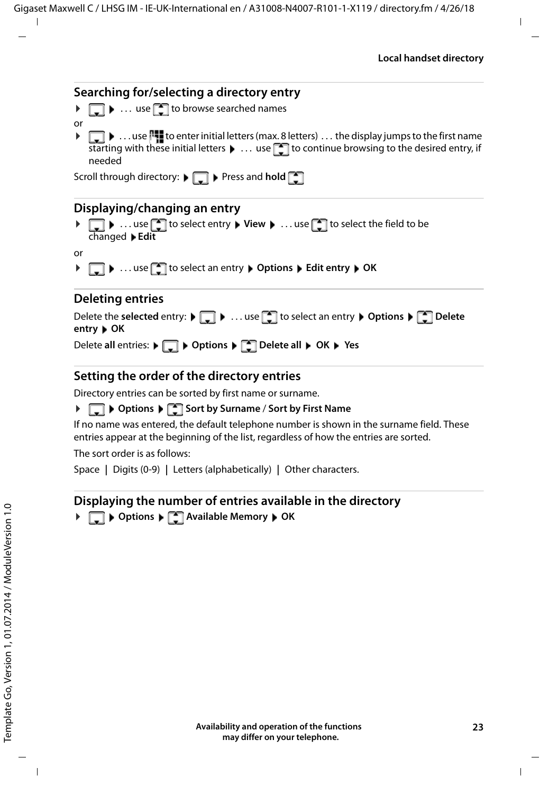## <span id="page-22-2"></span>**Searching for/selecting a directory entry**

- $\blacktriangleright \Box \blacktriangleright \ldots$  use  $\Box$  to browse searched names
- $\blacktriangleright \Box \blacktriangleright \ldots$  use  $\Box$  to enter initial letters (max. 8 letters)  $\ldots$  the display jumps to the first name starting with these initial letters  $\blacktriangleright \ldots$  use  $\blacktriangleright$  to continue browsing to the desired entry, if needed

Scroll through directory:  $\blacktriangleright$  **Press and hold**  $\blacktriangleright$ 

#### **Displaying/changing an entry**

**▶**  $\Box$  **▶** ... use  $\Box$  to select entry ▶ View ▶ ... use  $\Box$  to select the field to be changed **Edit**

or

or

**▶**  $\Box$  **▶** ... use  $\Box$  to select an entry ▶ Options ▶ Edit entry ▶ OK

#### **Deleting entries**

| Delete the selected entry: $\blacktriangleright \Box$ $\blacktriangleright$ use $\Box$ to select an entry $\blacktriangleright$ Options $\blacktriangleright \Box$ Delete<br>entry $\triangleright$ OK |  |
|--------------------------------------------------------------------------------------------------------------------------------------------------------------------------------------------------------|--|
| Delete all entries: $\bullet$ $\bullet$ $\bullet$ Options $\bullet$ $\bullet$ Delete all $\bullet$ OK $\bullet$ Yes                                                                                    |  |

#### <span id="page-22-1"></span>**Setting the order of the directory entries**

Directory entries can be sorted by first name or surname.

#### **▶ □ ▶ Options ▶ ■ Sort by Surname / Sort by First Name**

If no name was entered, the default telephone number is shown in the surname field. These entries appear at the beginning of the list, regardless of how the entries are sorted.

The sort order is as follows:

Space **|** Digits (0-9) **|** Letters (alphabetically) **|** Other characters.

#### <span id="page-22-0"></span>**Displaying the number of entries available in the directory**

**▶**  $\Box$  ▶ Options ▶  $\Box$  Available Memory ▶ OK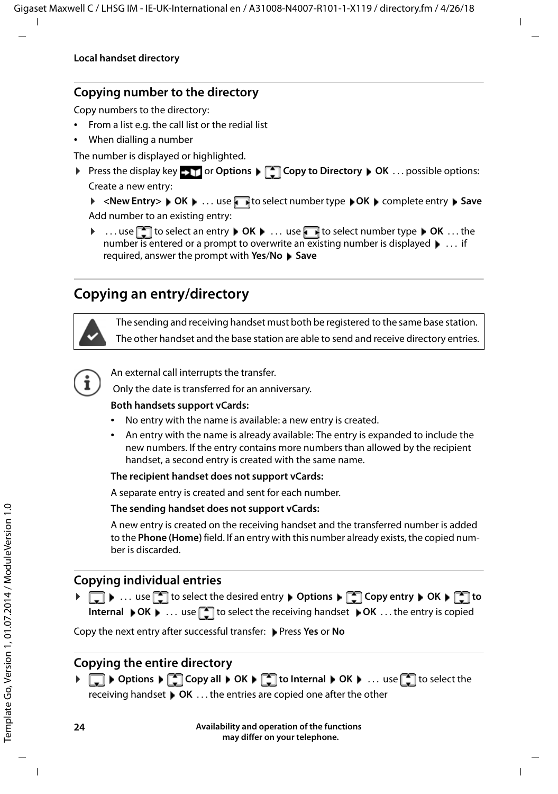#### <span id="page-23-0"></span>**Copying number to the directory**

Copy numbers to the directory:

- From a list e.g. the call list or the redial list
- When dialling a number

The number is displayed or highlighted.

▶ Press the display key **OUT OPTIONS** ▶ **COPY to Directory** ▶ OK . . . possible options: Create a new entry:

**▶** <New Entry> ▶ OK ▶ ... use to select number type ▶ OK ▶ complete entry ▶ Save Add number to an existing entry:

**▶** ... use **the select an entry ▶** OK ▶ ... use to select number type ▶ OK ... the number is entered or a prompt to overwrite an existing number is displayed  $\blacktriangleright$  ... if required, answer the prompt with **Yes**/**No Save**

### <span id="page-23-1"></span>**Copying an entry/directory**

<span id="page-23-2"></span>The sending and receiving handset must both be registered to the same base station. The other handset and the base station are able to send and receive directory entries.



An external call interrupts the transfer.

Only the date is transferred for an anniversary.

#### **Both handsets support vCards:**

- No entry with the name is available: a new entry is created.
- An entry with the name is already available: The entry is expanded to include the new numbers. If the entry contains more numbers than allowed by the recipient handset, a second entry is created with the same name.

#### **The recipient handset does not support vCards:**

A separate entry is created and sent for each number.

#### **The sending handset does not support vCards:**

A new entry is created on the receiving handset and the transferred number is added to the **Phone (Home)** field. If an entry with this number already exists, the copied number is discarded.

#### **Copying individual entries**

**▶**  $\Box$  **▶** ... use  $\Box$  to select the desired entry ▶ Options ▶  $\Box$  Copy entry ▶ OK ▶  $\Box$  to **Internal** ▶OK ▶ ... use to select the receiving handset ▶OK ... the entry is copied

Copy the next entry after successful transfer: Press **Yes** or **No**

#### **Copying the entire directory**

**▶ □ ▶ Options ▶ ■ Copy all ▶ OK ▶ ■ to Internal ▶ OK ▶ ... use ■ to select the** receiving handset **OK** . . . the entries are copied one after the other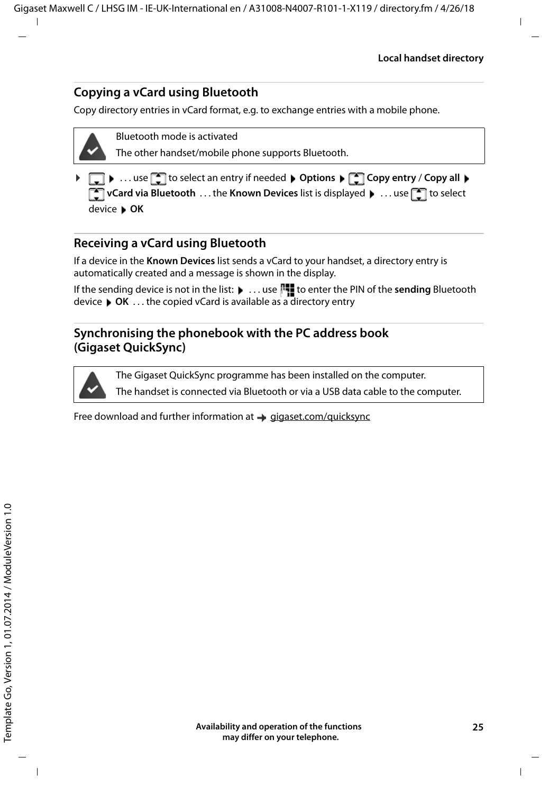#### <span id="page-24-0"></span>**Copying a vCard using Bluetooth**

Copy directory entries in vCard format, e.g. to exchange entries with a mobile phone.



Bluetooth mode is activated

The other handset/mobile phone supports Bluetooth.

**□ ▶** ... use **ि** to select an entry if needed ▶ Options ▶ ● Copy entry / Copy all **F** vCard via Bluetooth . . . the Known Devices list is displayed  $\blacksquare$  ... use  $\blacksquare$  to select device **OK**

#### **Receiving a vCard using Bluetooth**

If a device in the **Known Devices** list sends a vCard to your handset, a directory entry is automatically created and a message is shown in the display.

If the sending device is not in the list:  $\blacktriangleright$  ... use  $\lVert \cdot \rVert$  to enter the PIN of the **sending** Bluetooth device **OK** . . . the copied vCard is available as a directory entry

#### <span id="page-24-1"></span>**Synchronising the phonebook with the PC address book (Gigaset QuickSync)**

The Gigaset QuickSync programme has been installed on the computer.

The handset is connected via Bluetooth or via a USB data cable to the computer.

Free download and further information at  $\rightarrow$  [gigaset.com/quicksync](http://www.gigaset.com/quicksync)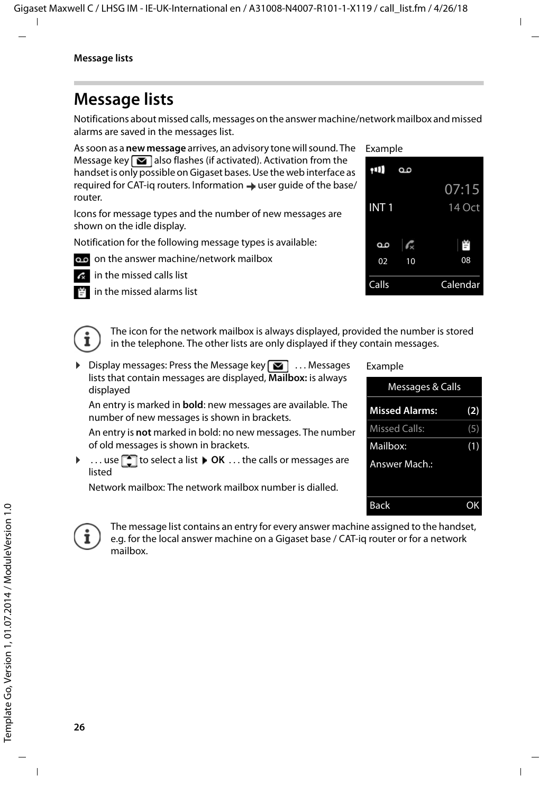### <span id="page-25-1"></span><span id="page-25-0"></span>**Message lists**

Notifications about missed calls, messages on the answer machine/network mailbox and missed alarms are saved in the messages list.

As soon as a **new message** arrives, an advisory tone will sound. The Message key  $\Box$  also flashes (if activated). Activation from the handset is only possible on Gigaset bases. Use the web interface as required for CAT-iq routers. Information  $\rightarrow$  user quide of the base/ router.

Icons for message types and the number of new messages are shown on the idle display.

Notification for the following message types is available:

- on the answer machine/network mailbox
	- in the missed calls list



<span id="page-25-3"></span>

<span id="page-25-2"></span>The icon for the network mailbox is always displayed, provided the number is stored in the telephone. The other lists are only displayed if they contain messages.

 $\triangleright$  Display messages: Press the Message key  $\triangleright$  ... Messages lists that contain messages are displayed, **Mailbox:** is always displayed

An entry is marked in **bold**: new messages are available. The number of new messages is shown in brackets.

An entry is **not** marked in bold: no new messages. The number of old messages is shown in brackets.

**▶ ... use [** $\bigcap$  **to select a list ▶ OK ... the calls or messages are** listed

Network mailbox: The network mailbox number is dialled.

#### Example





The message list contains an entry for every answer machine assigned to the handset, e.g. for the local answer machine on a Gigaset base / CAT-iq router or for a network mailbox.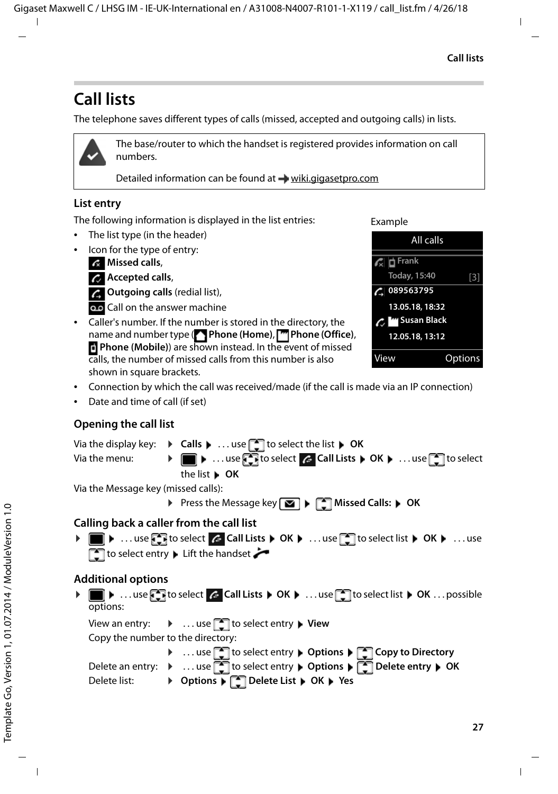### <span id="page-26-1"></span><span id="page-26-0"></span>**Call lists**

The telephone saves different types of calls (missed, accepted and outgoing calls) in lists.



The base/router to which the handset is registered provides information on call numbers.

Detailed information can be found at [wiki.gigasetpro.com](http://wiki.gigasetpro.com )

#### <span id="page-26-6"></span>**List entry**

The following information is displayed in the list entries:

- The list type (in the header)
- Icon for the type of entry:

**Missed calls**,

<span id="page-26-8"></span>**Accepted calls**,

*C* Outgoing calls (redial list),

oo Call on the answer machine

• Caller's number. If the number is stored in the directory, the name and number type ( **Phone (Home)**, **Phone (Office)**, **Phone (Mobile)**) are shown instead. In the event of missed calls, the number of missed calls from this number is also shown in square brackets.

Example



- Connection by which the call was received/made (if the call is made via an IP connection)
- Date and time of call (if set)

#### <span id="page-26-7"></span>**Opening the call list**

Via the display key:  $\rightarrow$  **Calls**  $\rightarrow$  ... use **the select the list**  $\rightarrow$  **OK** Via the menu: **▶ ■ ▶ ...use To select A Call Lists ▶ OK ▶ ...use To select** the list **OK**

Via the Message key (missed calls):

▶ Press the Message key **Missed Calls:** ▶ OK

#### <span id="page-26-2"></span>**Calling back a caller from the call list**

**▶ ■ ▶** ... use to select  $\subset$  Call Lists ▶ OK ▶ ... use to select list ▶ OK ▶ ... use  $\Box$  to select entry  $\blacktriangleright$  Lift the handset  $\blacktriangleright$ 

#### **Additional options**

<span id="page-26-3"></span>**▶ ■ ▶ ...use to select & Call Lists ▶ OK ▶ ...use to select list ▶ OK ... possible** options:

View an entry: ▶ ... use **[1]** to select entry ▶ View

Copy the number to the directory:

<span id="page-26-5"></span><span id="page-26-4"></span>**▶** ... use to select entry ▶ Options ▶ Copy to Directory Delete an entry: ▶ ... use to select entry ▶ Options ▶ external pete entry ▶ OK Delete list: ¤ **Options Delete List OK Yes**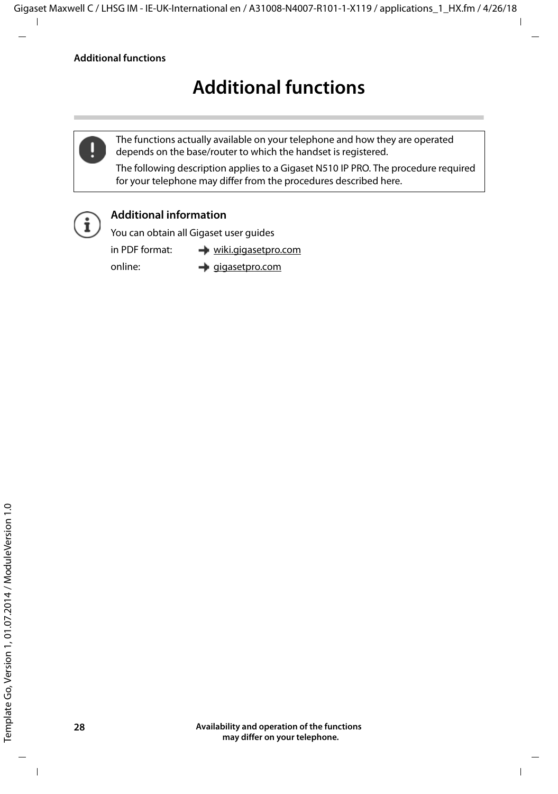### **Additional functions**

<span id="page-27-0"></span>

The functions actually available on your telephone and how they are operated depends on the base/router to which the handset is registered.

The following description applies to a Gigaset N510 IP PRO. The procedure required for your telephone may differ from the procedures described here.



#### **Additional information**

You can obtain all Gigaset user guides

in PDF format:  $\rightarrow$  [wiki.gigasetpro.com](http://wiki.gigasetpro.com)

online:  $\rightarrow$  [gigasetpro.com](http://www.gigasetpro.com)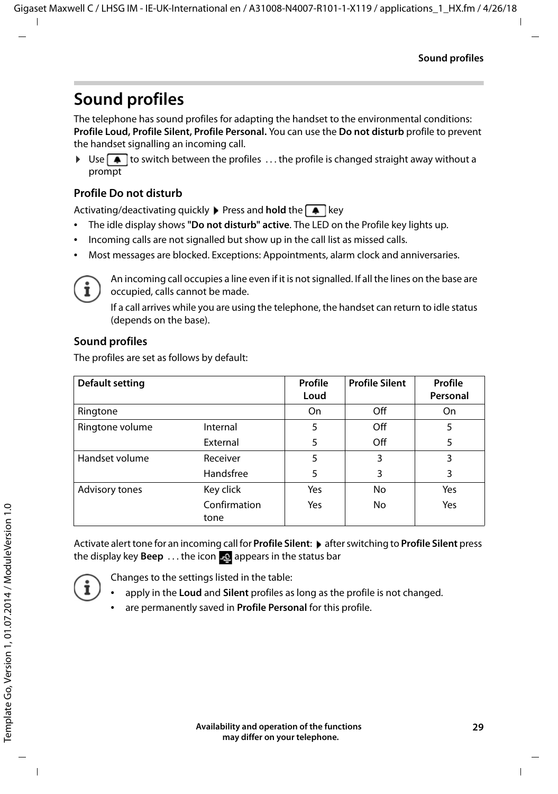### <span id="page-28-1"></span><span id="page-28-0"></span>**Sound profiles**

The telephone has sound profiles for adapting the handset to the environmental conditions: **Profile Loud, Profile Silent, Profile Personal.** You can use the **Do not disturb** profile to prevent the handset signalling an incoming call.

 $\triangleright$  Use  $\triangleright$  to switch between the profiles ... the profile is changed straight away without a prompt

#### <span id="page-28-3"></span>**Profile Do not disturb**

Activating/deactivating quickly **Press and hold** the **A** key

- The idle display shows **"Do not disturb" active**. The LED on the Profile key lights up.
- Incoming calls are not signalled but show up in the call list as missed calls.
- Most messages are blocked. Exceptions: Appointments, alarm clock and anniversaries.



An incoming call occupies a line even if it is not signalled. If all the lines on the base are occupied, calls cannot be made.

If a call arrives while you are using the telephone, the handset can return to idle status (depends on the base).

#### **Sound profiles**

The profiles are set as follows by default:

| Default setting |                      | Profile<br>Loud | <b>Profile Silent</b> | Profile<br>Personal |
|-----------------|----------------------|-----------------|-----------------------|---------------------|
| Ringtone        |                      | On              | Off                   | On                  |
| Ringtone volume | Internal             | 5               | Off                   | 5                   |
|                 | External             | 5               | Off                   | 5                   |
| Handset volume  | Receiver             | 5               | 3                     | 3                   |
|                 | Handsfree            | 5               | 3                     | 3                   |
| Advisory tones  | Key click            | Yes             | No                    | Yes                 |
|                 | Confirmation<br>tone | Yes             | No                    | Yes                 |

<span id="page-28-2"></span>Activate alert tone for an incoming call for **Profile Silent:**  $\triangleright$  after switching to **Profile Silent** press the display key **Beep** ... the icon **A** appears in the status bar



Changes to the settings listed in the table:

- apply in the **Loud** and **Silent** profiles as long as the profile is not changed.
- are permanently saved in **Profile Personal** for this profile.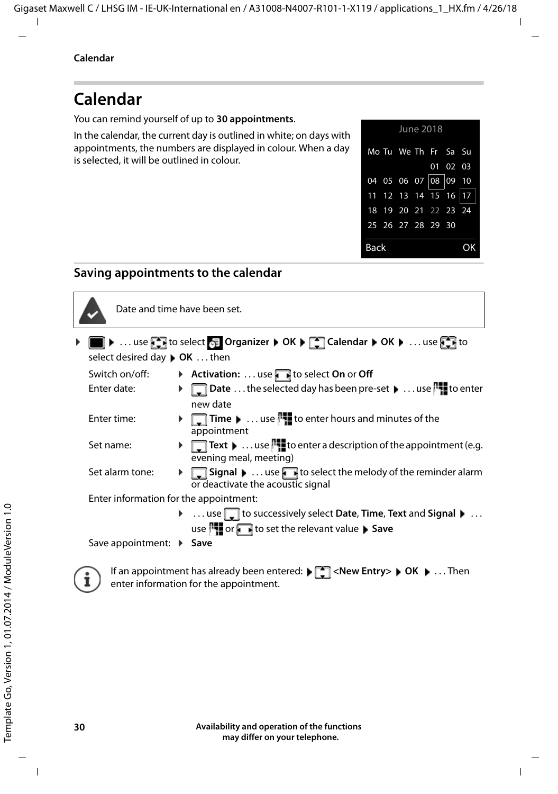### <span id="page-29-1"></span><span id="page-29-0"></span>**Calendar**

You can remind yourself of up to **30 appointments**.

In the calendar, the current day is outlined in white; on days with appointments, the numbers are displayed in colour. When a day is selected, it will be outlined in colour.



#### **Saving appointments to the calendar**



Date and time have been set.

**EXALUATER EXALUATER IN SERVICE OR A CALENDARY CONDUCT ON A LICENSE OF THE ORGANIZER TO CALENDARY CONDUCTS TO CALENDARY CONDUCTS** select desired day **OK** . . . then

- Switch on/off:  $\rightarrow$  **Activation:** ... use to select **On** or **Off** Enter date: **Dubber 2018** Date ... the selected day has been pre-set **Definition** to enter
	- new date
- Enter time:  $\mathbf{r}$  **Time**  $\mathbf{r}$  ... use  $\mathbf{r}$  to enter hours and minutes of the appointment
- Set name:  $\blacktriangleright \Box$  Text  $\blacktriangleright$  ... use  $\Box$  to enter a description of the appointment (e.g. evening meal, meeting)
- Set alarm tone:  $\bullet$  **Signal**  $\bullet$  ... use to select the melody of the reminder alarm or deactivate the acoustic signal

Enter information for the appointment:

▶ ... use **the successively select Date**, **Time**, **Text** and **Signal** ▶ ... use **the or the relevant value**  Save

Save appointment:  $\triangleright$  Save



If an appointment has already been entered:  $\blacktriangleright$   $\lceil \frac{1}{2} \rceil$  < New Entry >  $\blacktriangleright$  OK  $\blacktriangleright$  ... Then enter information for the appointment.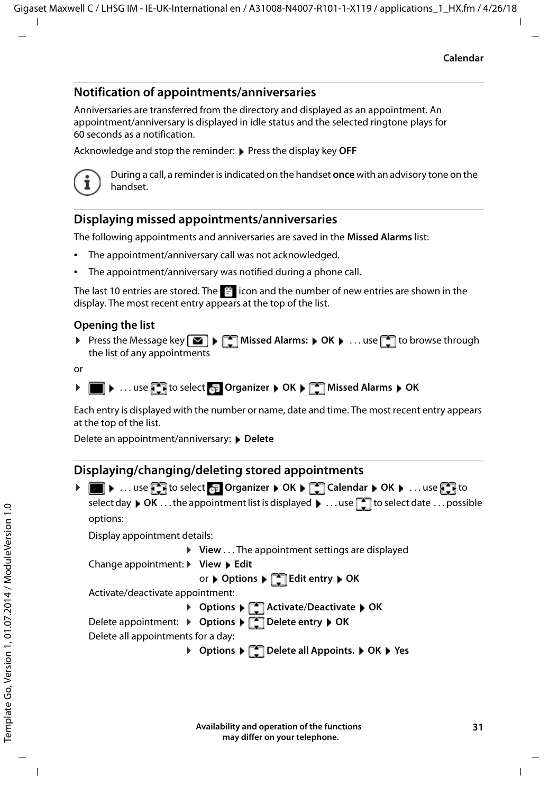#### **Notification of appointments/anniversaries**

<span id="page-30-1"></span>Anniversaries are transferred from the directory and displayed as an appointment. An appointment/anniversary is displayed in idle status and the selected ringtone plays for 60 seconds as a notification.

Acknowledge and stop the reminder: **Press the display key OFF** 



During a call, a reminder is indicated on the handset **once** with an advisory tone on the handset.

#### <span id="page-30-0"></span>**Displaying missed appointments/anniversaries**

The following appointments and anniversaries are saved in the **Missed Alarms** list:

- The appointment/anniversary call was not acknowledged.
- The appointment/anniversary was notified during a phone call.

The last 10 entries are stored. The  $\mathbb{F}$  icon and the number of new entries are shown in the display. The most recent entry appears at the top of the list.

#### **Opening the list**

▶ Press the Message key **MI** ▶ **[ ]** Missed Alarms: ▶ OK ▶ ... use 1 to browse through the list of any appointments

or



Each entry is displayed with the number or name, date and time. The most recent entry appears at the top of the list.

Delete an appointment/anniversary: **Delete** 

#### **Displaying/changing/deleting stored appointments**

| options:                                                        |                                                                                                                                                                                                |
|-----------------------------------------------------------------|------------------------------------------------------------------------------------------------------------------------------------------------------------------------------------------------|
| Display appointment details:                                    |                                                                                                                                                                                                |
| $\triangleright$ View  The appointment settings are displayed   |                                                                                                                                                                                                |
| Change appointment: $\triangleright$ View $\triangleright$ Edit |                                                                                                                                                                                                |
| or ▶ Options ▶ CO Edit entry ▶ OK                               |                                                                                                                                                                                                |
| Activate/deactivate appointment:                                |                                                                                                                                                                                                |
|                                                                 |                                                                                                                                                                                                |
| Delete appointment: > Options > Delete entry > OK               |                                                                                                                                                                                                |
| Delete all appointments for a day:                              |                                                                                                                                                                                                |
| ▶ Options ▶ [ <sup>4</sup> ] Delete all Appoints. ▶ OK ▶ Yes    |                                                                                                                                                                                                |
|                                                                 | ▶ ■ ▶  use → to select <mark>← Organizer ▶ OK ▶ ←</mark> Calendar ▶ OK ▶  use ← to<br>select day $\bullet$ OK  the appointment list is displayed $\bullet$ use $\Box$ to select date  possible |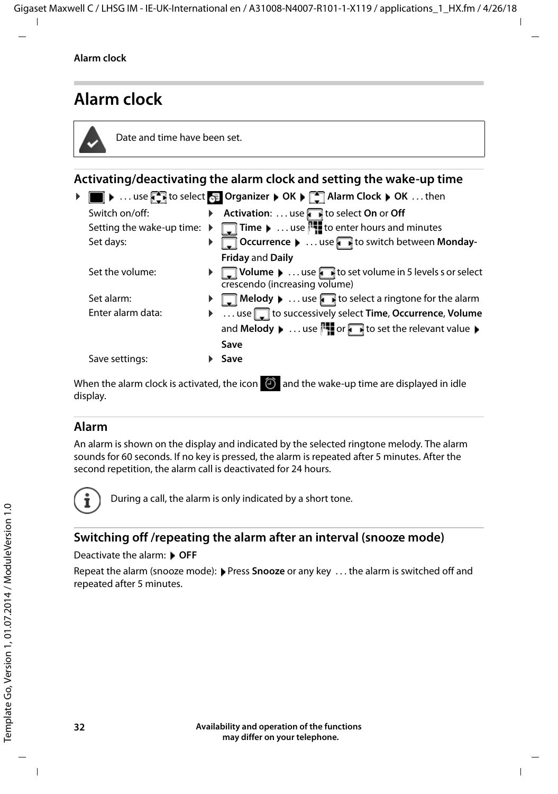### <span id="page-31-2"></span><span id="page-31-0"></span>**Alarm clock**



Date and time have been set.

### <span id="page-31-3"></span>**Activating/deactivating the alarm clock and setting the wake-up time ▶ ■ ▶ ... use to select** E Organizer ▶ OK ▶ ■ Alarm Clock ▶ OK ... then

| Switch on/off:                                  | $\blacktriangleright$ | Activation:  use to select On or Off                                                                                  |
|-------------------------------------------------|-----------------------|-----------------------------------------------------------------------------------------------------------------------|
| Setting the wake-up time: $\blacktriangleright$ |                       | $\Box$ Time $\blacktriangleright$ use $\Box$ to enter hours and minutes                                               |
| Set days:                                       |                       | Occurrence    use to switch between Monday-                                                                           |
|                                                 |                       | <b>Friday and Daily</b>                                                                                               |
| Set the volume:                                 |                       | $\Box$ Volume $\blacktriangleright$ use $\Box$ to set volume in 5 levels s or select<br>crescendo (increasing volume) |
| Set alarm:                                      |                       | <b>Melody</b> $\bullet$ use <b>the select a ringtone for the alarm</b>                                                |
| Enter alarm data:                               |                       | ▶ use do successively select Time, Occurrence, Volume                                                                 |
|                                                 |                       | and Melody $\blacktriangleright$ use $\blacksquare$ or $\blacksquare$ to set the relevant value $\blacktriangleright$ |
|                                                 |                       | Save                                                                                                                  |
| Save settings:                                  |                       | Save                                                                                                                  |
|                                                 |                       | When the alarm clock is activated the icon $\widehat{D}$ and the wake-up time are displayed in idle                   |

<span id="page-31-4"></span>When the alarm clock is activated, the icon  $\Theta$  and the wake-up time are displayed in idle display.

#### <span id="page-31-1"></span>**Alarm**

An alarm is shown on the display and indicated by the selected ringtone melody. The alarm sounds for 60 seconds. If no key is pressed, the alarm is repeated after 5 minutes. After the second repetition, the alarm call is deactivated for 24 hours.



During a call, the alarm is only indicated by a short tone.

#### <span id="page-31-5"></span>**Switching off /repeating the alarm after an interval (snooze mode)**

#### Deactivate the alarm: **DEF**

Repeat the alarm (snooze mode): Press **Snooze** or any key . . . the alarm is switched off and repeated after 5 minutes.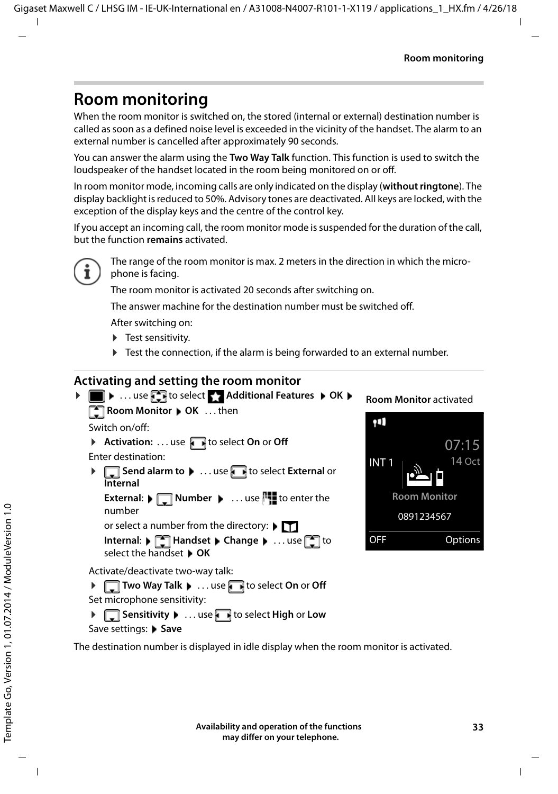### <span id="page-32-2"></span><span id="page-32-0"></span>**Room monitoring**

When the room monitor is switched on, the stored (internal or external) destination number is called as soon as a defined noise level is exceeded in the vicinity of the handset. The alarm to an external number is cancelled after approximately 90 seconds.

You can answer the alarm using the **Two Way Talk** function. This function is used to switch the loudspeaker of the handset located in the room being monitored on or off.

In room monitor mode, incoming calls are only indicated on the display (**without ringtone**). The display backlight is reduced to 50%. Advisory tones are deactivated. All keys are locked, with the exception of the display keys and the centre of the control key.

If you accept an incoming call, the room monitor mode is suspended for the duration of the call, but the function **remains** activated.



The range of the room monitor is max. 2 meters in the direction in which the microphone is facing.

The room monitor is activated 20 seconds after switching on.

The answer machine for the destination number must be switched off.

After switching on:

- ▶ Test sensitivity.
- $\blacktriangleright$  Test the connection, if the alarm is being forwarded to an external number.

#### <span id="page-32-3"></span><span id="page-32-1"></span>**Activating and setting the room monitor**



**Room Monitor** activated



The destination number is displayed in idle display when the room monitor is activated.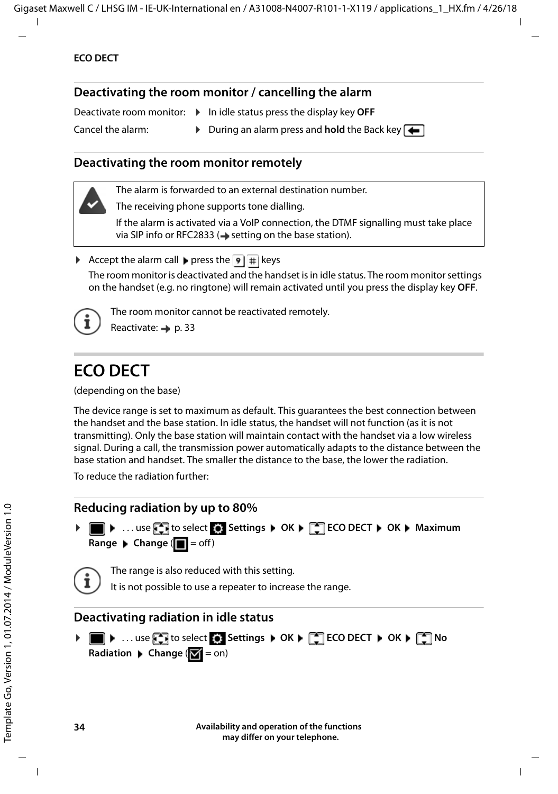#### <span id="page-33-1"></span>**Deactivating the room monitor / cancelling the alarm**

Deactivate room monitor: ▶ In idle status press the display key OFF

Cancel the alarm: **► During an alarm press and hold** the Back key

#### **Deactivating the room monitor remotely**

The alarm is forwarded to an external destination number.

The receiving phone supports tone dialling.

If the alarm is activated via a VoIP connection, the DTMF signalling must take place via SIP info or RFC2833 ( $\rightarrow$  setting on the base station).

Accept the alarm call press the  $\overline{9}$  # keys The room monitor is deactivated and the handset is in idle status. The room monitor settings on the handset (e.g. no ringtone) will remain activated until you press the display key **OFF**.



The room monitor cannot be reactivated remotely.

Reactivate: [p. 33](#page-32-1)

### <span id="page-33-3"></span><span id="page-33-0"></span>**ECO DECT**

(depending on the base)

The device range is set to maximum as default. This guarantees the best connection between the handset and the base station. In idle status, the handset will not function (as it is not transmitting). Only the base station will maintain contact with the handset via a low wireless signal. During a call, the transmission power automatically adapts to the distance between the base station and handset. The smaller the distance to the base, the lower the radiation.

To reduce the radiation further:

#### <span id="page-33-5"></span>**Reducing radiation by up to 80%**

<span id="page-33-4"></span>**▶** ■ ▶ ... use  $\Box$  to select  $\odot$  Settings ▶ OK ▶  $\Box$  ECO DECT ▶ OK ▶ Maximum **Range**  $\blacktriangleright$  **Change**  $(\blacksquare \blacktriangleright )$  = off)



The range is also reduced with this setting.

It is not possible to use a repeater to increase the range.

#### <span id="page-33-2"></span>**Deactivating radiation in idle status**

**▶ ■ ▶ ...use to select © Settings ▶ OK ▶ CCO DECT ▶ OK ▶ CONO Radiation**  $\triangleright$  **Change**  $(\triangleright \cdot \cdot)$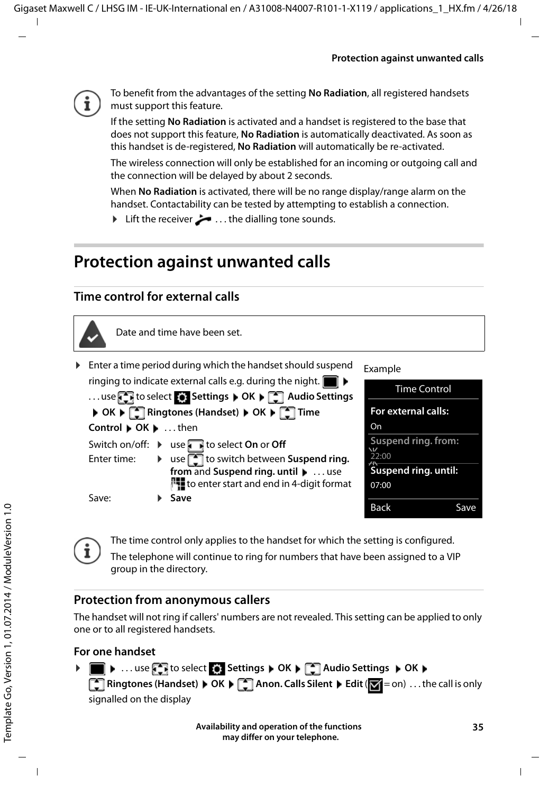

To benefit from the advantages of the setting **No Radiation**, all registered handsets must support this feature.

If the setting **No Radiation** is activated and a handset is registered to the base that does not support this feature, **No Radiation** is automatically deactivated. As soon as this handset is de-registered, **No Radiation** will automatically be re-activated.

The wireless connection will only be established for an incoming or outgoing call and the connection will be delayed by about 2 seconds.

When **No Radiation** is activated, there will be no range display/range alarm on the handset. Contactability can be tested by attempting to establish a connection.

► Lift the receiver ... the dialling tone sounds.

### <span id="page-34-0"></span>**Protection against unwanted calls**

#### <span id="page-34-3"></span>**Time control for external calls**



Date and time have been set.

<span id="page-34-2"></span>▶ Enter a time period during which the handset should suspend ringing to indicate external calls e.g. during the night.  $\blacksquare$ 

|                     | use to select $\bullet$ Settings $\triangleright$ OK $\triangleright$ $\begin{bmatrix} \bullet \\ \bullet \end{bmatrix}$ Audio Settings |
|---------------------|-----------------------------------------------------------------------------------------------------------------------------------------|
|                     | ▶ OK ▶ <<<<<<<<<> ME Ringtones (Handset) ▶ OK ▶ <<<<<<< Time<                                                                           |
| Control ▶ OK ▶ then |                                                                                                                                         |
|                     | Switch on/off: $\triangleright$ use $\triangleright$ to select On or Off                                                                |
|                     | Enter time: $\longrightarrow$ use $\Box$ to switch between Suspend ring.                                                                |
|                     | from and Suspend ring. until $\blacktriangleright$ use                                                                                  |
|                     | to enter start and end in 4-digit format                                                                                                |
| Save:               | Save                                                                                                                                    |
|                     |                                                                                                                                         |

#### Example

| <b>Time Control</b>          |      |
|------------------------------|------|
| For external calls:          |      |
| On                           |      |
| Suspend ring. from:<br>22:00 |      |
| Suspend ring. until:         |      |
| 07:00                        |      |
| Back                         | Save |



The time control only applies to the handset for which the setting is configured.

The telephone will continue to ring for numbers that have been assigned to a VIP group in the directory.

#### **Protection from anonymous callers**

<span id="page-34-1"></span>The handset will not ring if callers' numbers are not revealed. This setting can be applied to only one or to all registered handsets.

#### **For one handset**

**▶ ■ ▶ ... use to select is Settings ▶ OK ▶ 【 】 Audio Settings ▶ OK ▶ Ringtones (Handset)**  $\triangleright$  **OK**  $\triangleright$  **<b>C** Anon. Calls Silent  $\triangleright$  Edit ( $\triangleright$  = on) . . . the call is only signalled on the display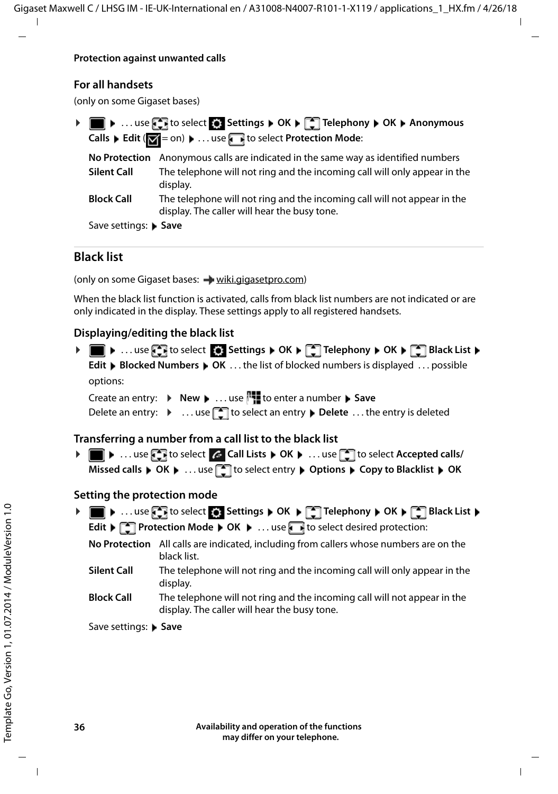#### **Protection against unwanted calls**

#### **For all handsets**

(only on some Gigaset bases)

| ▶ <b>III A</b> use <b>A</b> to select <b>A</b> Settings <b>A</b> OK <b>A A</b> Telephony <b>A</b> OK <b>A</b> Anonymous |
|-------------------------------------------------------------------------------------------------------------------------|
| <b>Calls</b> Lealit ( $\mathbf{X} = \text{on}$ ) Lea. use the select Protection Mode:                                   |

|                       | No Protection Anonymous calls are indicated in the same way as identified numbers                                        |
|-----------------------|--------------------------------------------------------------------------------------------------------------------------|
| <b>Silent Call</b>    | The telephone will not ring and the incoming call will only appear in the<br>display.                                    |
| <b>Block Call</b>     | The telephone will not ring and the incoming call will not appear in the<br>display. The caller will hear the busy tone. |
| Save settings: ▶ Save |                                                                                                                          |

#### **Black list**

(only on some Gigaset bases: [wiki.gigasetpro.com\)](http://wiki.gigasetpro.com )

<span id="page-35-0"></span>When the black list function is activated, calls from black list numbers are not indicated or are only indicated in the display. These settings apply to all registered handsets.

#### **Displaying/editing the black list**

| ▶               use       to select         Settings   OK             Telephony   OK         Black List                          |
|----------------------------------------------------------------------------------------------------------------------------------|
| Edit ▶ Blocked Numbers ▶ OK  the list of blocked numbers is displayed  possible                                                  |
| options:                                                                                                                         |
| Create an entry: ▶ New ▶  use It to enter a number ▶ Save                                                                        |
| Delete an entry: $\longrightarrow \dots$ use $\Box$ to select an entry $\blacktriangleright$ Delete $\dots$ the entry is deleted |
|                                                                                                                                  |

#### **Transferring a number from a call list to the black list**

**▶ ■ ▶ ... use to select & Call Lists ▶ OK ▶ ... use to select Accepted calls/ Missed calls**  $\triangleright$  OK  $\triangleright$  ... use  $\cdot$  to select entry  $\triangleright$  Options  $\triangleright$  Copy to Blacklist  $\triangleright$  OK

#### **Setting the protection mode**

<span id="page-35-1"></span>

|                       | ▶              use       to select     Settings   OK         Telephony   OK         Black List                                                                                                                                               |
|-----------------------|----------------------------------------------------------------------------------------------------------------------------------------------------------------------------------------------------------------------------------------------|
|                       | <b>Edit <math>\blacktriangleright</math> <math>\lceil \cdot \cdot \rceil</math> Protection Mode <math>\blacktriangleright</math> OK <math>\blacktriangleright</math>  use <math>\blacktriangleright</math> to select desired protection:</b> |
|                       | No Protection All calls are indicated, including from callers whose numbers are on the<br>black list.                                                                                                                                        |
| <b>Silent Call</b>    | The telephone will not ring and the incoming call will only appear in the<br>display.                                                                                                                                                        |
| <b>Block Call</b>     | The telephone will not ring and the incoming call will not appear in the<br>display. The caller will hear the busy tone.                                                                                                                     |
| Save settings: ▶ Save |                                                                                                                                                                                                                                              |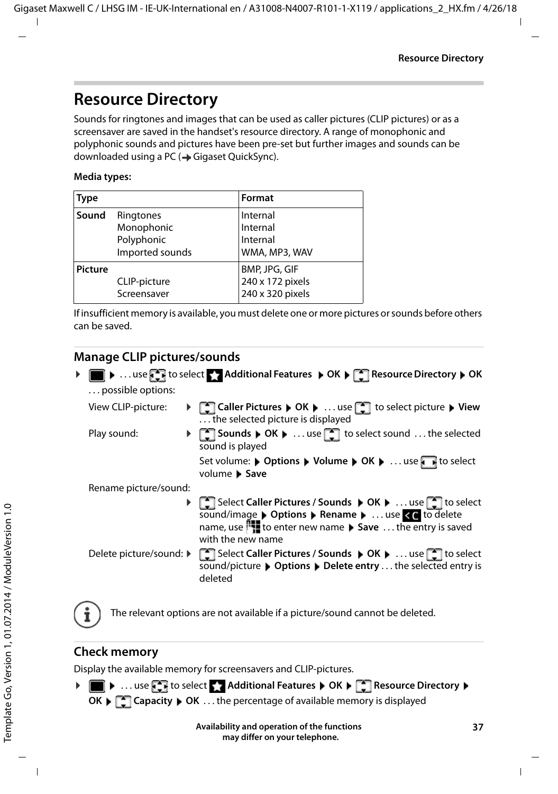### <span id="page-36-0"></span>**Resource Directory**

<span id="page-36-3"></span>Sounds for ringtones and images that can be used as caller pictures (CLIP pictures) or as a screensaver are saved in the handset's resource directory. A range of monophonic and polyphonic sounds and pictures have been pre-set but further images and sounds can be downloaded using a PC (- Gigaset QuickSync).

#### **Media types:**

<span id="page-36-7"></span>

| <b>Type</b>    |                                                          | Format                                                |
|----------------|----------------------------------------------------------|-------------------------------------------------------|
| Sound          | Ringtones<br>Monophonic<br>Polyphonic<br>Imported sounds | Internal<br>Internal<br>Internal<br>WMA, MP3, WAV     |
| <b>Picture</b> | CLIP-picture<br>Screensaver                              | BMP, JPG, GIF<br>240 x 172 pixels<br>240 x 320 pixels |

<span id="page-36-5"></span>If insufficient memory is available, you must delete one or more pictures or sounds before others can be saved.

#### <span id="page-36-1"></span>**Manage CLIP pictures/sounds**

<span id="page-36-8"></span><span id="page-36-6"></span>

| possible options:       | ▶ ● ▶ use < to select < Additional Features > OK ▶ < Resource Directory ▶ OK                                                                                                                                   |
|-------------------------|----------------------------------------------------------------------------------------------------------------------------------------------------------------------------------------------------------------|
| View CLIP-picture:      | ▶ [ Caller Pictures ▶ OK ▶  use [ ] to select picture ▶ View<br>the selected picture is displayed                                                                                                              |
| Play sound:             | ▶ [ Sounds   OK   use [ ] to select sound  the selected<br>sound is played                                                                                                                                     |
|                         | Set volume: ▶ Options ▶ Volume ▶ OK ▶  use<br>volume Save                                                                                                                                                      |
| Rename picture/sound:   |                                                                                                                                                                                                                |
|                         | ▶ Select Caller Pictures / Sounds ▶ OK ▶ use [●] to select<br>sound/image > Options > Rename > use < c to delete<br>name, use <sup>1</sup> . to enter new name ▶ Save  the entry is saved<br>with the new name |
| Delete picture/sound: ▶ | <b>Formula</b> Select Caller Pictures / Sounds ▶ OK ▶  use <sup>1</sup> to select<br>sound/picture ▶ Options ▶ Delete entry  the selected entry is<br>deleted                                                  |

<span id="page-36-4"></span>

The relevant options are not available if a picture/sound cannot be deleted.

#### <span id="page-36-2"></span>**Check memory**

Display the available memory for screensavers and CLIP-pictures.

▶ **■ ▶** ... use **to** select **Additional Features ▶ OK ▶ CORES** Resource Directory ▶ **OK**  $\blacktriangleright$   $\Box$  Capacity  $\blacktriangleright$  OK ... the percentage of available memory is displayed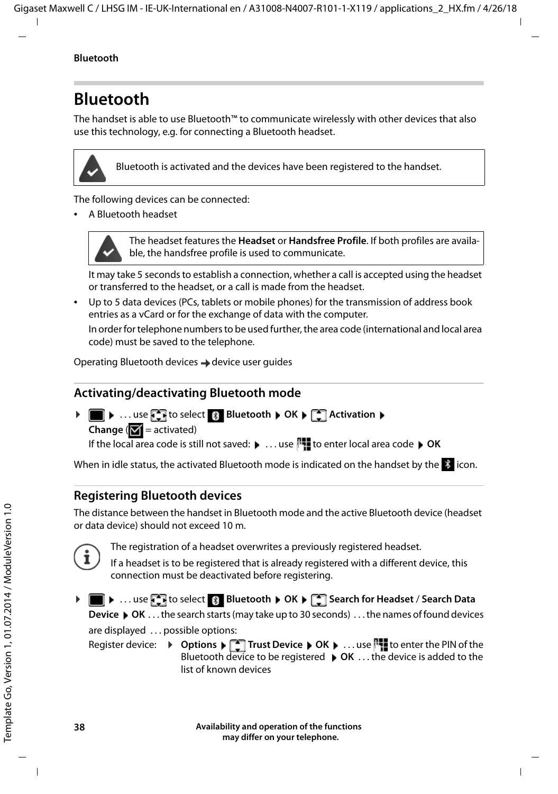### <span id="page-37-1"></span><span id="page-37-0"></span>**Bluetooth**

<span id="page-37-2"></span>The handset is able to use Bluetooth™ to communicate wirelessly with other devices that also use this technology, e.g. for connecting a Bluetooth headset.



Bluetooth is activated and the devices have been registered to the handset.

The following devices can be connected:

<span id="page-37-5"></span>• A Bluetooth headset



The headset features the **Headset** or **Handsfree Profile**. If both profiles are available, the handsfree profile is used to communicate.

It may take 5 seconds to establish a connection, whether a call is accepted using the headset or transferred to the headset, or a call is made from the headset.

• Up to 5 data devices (PCs, tablets or mobile phones) for the transmission of address book entries as a vCard or for the exchange of data with the computer. In order for telephone numbers to be used further, the area code (international and local area

code) must be saved to the telephone.

Operating Bluetooth devices  $\rightarrow$  device user guides

#### <span id="page-37-3"></span>**Activating/deactivating Bluetooth mode**

If the local area code is still not saved:  $\mathbf{v}$  ... use  $\mathbf{r}$  to enter local area code  $\mathbf{v}$  OK ▶ **■ ▶** ... use **{** I to select **8** Bluetooth ▶ OK ▶ 【 I Activation ▶ **Change** ( $\mathbf{V}$  = activated)

When in idle status, the activated Bluetooth mode is indicated on the handset by the  $\frac{1}{2}$  icon.

<span id="page-37-4"></span>**Registering Bluetooth devices**

The distance between the handset in Bluetooth mode and the active Bluetooth device (headset or data device) should not exceed 10 m.



The registration of a headset overwrites a previously registered headset.

If a headset is to be registered that is already registered with a different device, this connection must be deactivated before registering.

**▶ ■ ▶ ... use to select 8 Bluetooth ▶ OK ▶ 【● Search for Headset / Search Data** 

**Device ▶ OK** . . . the search starts (may take up to 30 seconds) . . . the names of found devices are displayed . . . possible options:

Register device: **Deptions**  $\begin{bmatrix} \bullet \\ \bullet \end{bmatrix}$  **Trust Device**  $\begin{bmatrix} \bullet & \bullet \end{bmatrix}$  **OK**  $\begin{bmatrix} \bullet & \bullet \end{bmatrix}$  **to enter the PIN of the** Bluetooth device to be registered **OK** . . . the device is added to the list of known devices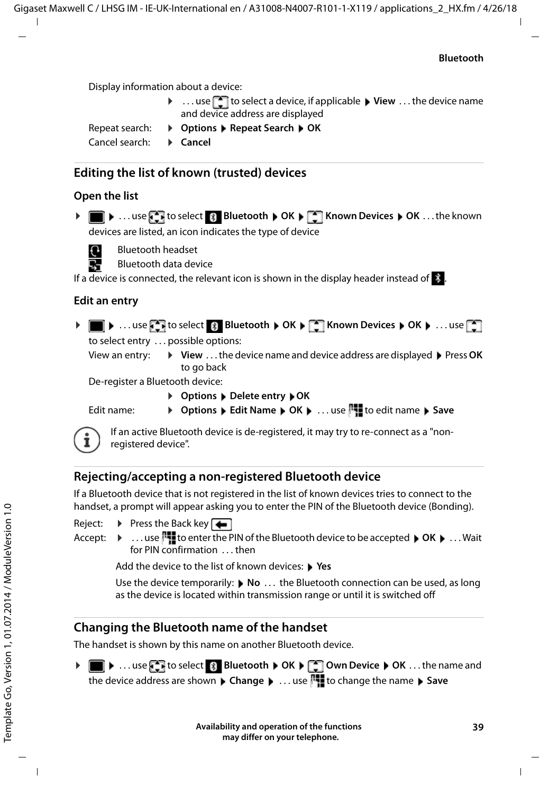Display information about a device:

- ▶ ...use **the select a device, if applicable ▶ View ...the device name** and device address are displayed
- Repeat search: ¤ **Options Repeat Search OK**

Cancel search:  $\rightarrow$  **Cancel** 

#### <span id="page-38-2"></span>**Editing the list of known (trusted) devices**

#### **Open the list**

**▶ ■ ▶ ...use T** to select **Bluetooth** ▶ OK ▶ T Known Devices ▶ OK ...the known devices are listed, an icon indicates the type of device



**Bluetooth headset** 

**B** Bluetooth data device

If a device is connected, the relevant icon is shown in the display header instead of  $\ddot{\mathbf{\cdot}}$ .

#### **Edit an entry**

- $\triangleright$  **n**  $\bullet$  ... use  $\begin{bmatrix} \bullet \\ \bullet \end{bmatrix}$  to select  $\begin{bmatrix} \circ \\ \bullet \end{bmatrix}$  Bluetooth  $\triangleright$  OK  $\triangleright$  **CE Nown Devices**  $\triangleright$  OK  $\triangleright$  ... use  $\begin{bmatrix} \bullet \\ \bullet \end{bmatrix}$ to select entry . . . possible options:
	- View an entry: ▶ View . . . the device name and device address are displayed ▶ Press OK to go back

<span id="page-38-1"></span>De-register a Bluetooth device:

**▶ Options ▶ Delete entry ▶ OK** 

Edit name: **•** Options **•** Edit Name • OK **•** ... use  $\frac{1}{1}$  to edit name • Save If an active Bluetooth device is de-registered, it may try to re-connect as a "non-

registered device".

#### **Rejecting/accepting a non-registered Bluetooth device**

If a Bluetooth device that is not registered in the list of known devices tries to connect to the handset, a prompt will appear asking you to enter the PIN of the Bluetooth device (Bonding).

- Reject:  $\triangleright$  Press the Back key
- 
- Accept:  $\mathbf{F}$  ... use  $\mathbf{F}$  to enter the PIN of the Bluetooth device to be accepted  $\mathbf{F}$  OK  $\mathbf{F}$  ... Wait for PIN confirmation . . . then

Add the device to the list of known devices:  $\triangleright$  Yes

Use the device temporarily: **▶ No** . . . the Bluetooth connection can be used, as long as the device is located within transmission range or until it is switched off

#### <span id="page-38-0"></span>**Changing the Bluetooth name of the handset**

The handset is shown by this name on another Bluetooth device.

▶ **■ ▶** ... use **{ ]** to select **8** Bluetooth ▶ OK ▶ [ ] Own Device ▶ OK ... the name and the device address are shown **Change <b>ALC**<sub>1</sub>. . . . use  $\mathbb{F}_{\bullet}$  to change the name **Save**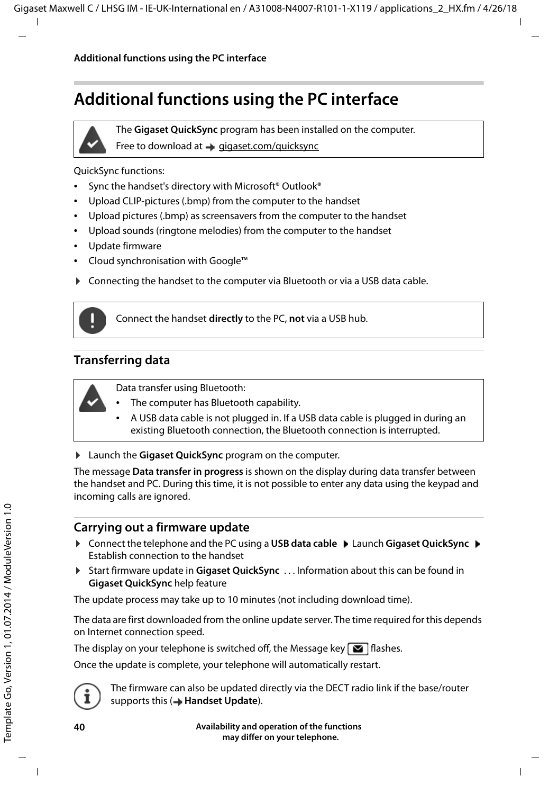### <span id="page-39-1"></span><span id="page-39-0"></span>**Additional functions using the PC interface**



The **Gigaset QuickSync** program has been installed on the computer.

Free to download at  $\rightarrow$  [gigaset.com/quicksync](http://www.gigaset.com/quicksync)

<span id="page-39-3"></span>QuickSync functions:

- Sync the handset's directory with Microsoft® Outlook®
- Upload CLIP-pictures (.bmp) from the computer to the handset
- Upload pictures (.bmp) as screensavers from the computer to the handset
- Upload sounds (ringtone melodies) from the computer to the handset
- Update firmware
- Cloud synchronisation with Google™
- ▶ Connecting the handset to the computer via Bluetooth or via a USB data cable.



Connect the handset **directly** to the PC, **not** via a USB hub.

#### **Transferring data**



Data transfer using Bluetooth:

- The computer has Bluetooth capability.
- A USB data cable is not plugged in. If a USB data cable is plugged in during an existing Bluetooth connection, the Bluetooth connection is interrupted.

**Example 3 Launch the Gigaset QuickSync** program on the computer.

The message **Data transfer in progress** is shown on the display during data transfer between the handset and PC. During this time, it is not possible to enter any data using the keypad and incoming calls are ignored.

#### <span id="page-39-2"></span>**Carrying out a firmware update**

- **▶** Connect the telephone and the PC using a USB data cable ▶ Launch Gigaset QuickSync ▶ Establish connection to the handset
- ▶ Start firmware update in Gigaset QuickSync . . . Information about this can be found in **Gigaset QuickSync** help feature

The update process may take up to 10 minutes (not including download time).

The data are first downloaded from the online update server. The time required for this depends on Internet connection speed.

The display on your telephone is switched off, the Message key  $\Box$  flashes.

Once the update is complete, your telephone will automatically restart.



The firmware can also be updated directly via the DECT radio link if the base/router supports this (**+Handset Update**).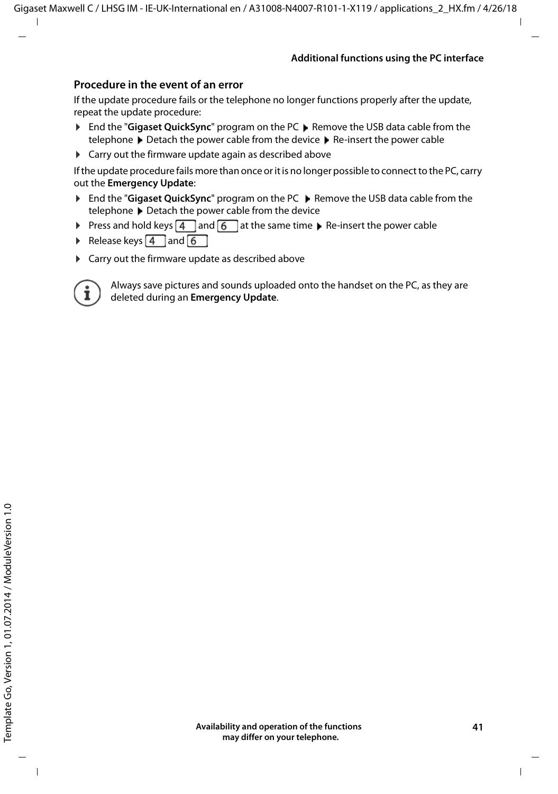#### **Procedure in the event of an error**

If the update procedure fails or the telephone no longer functions properly after the update, repeat the update procedure:

- **▶ End the "Gigaset QuickSync"** program on the PC ▶ Remove the USB data cable from the telephone Detach the power cable from the device D Re-insert the power cable
- $\triangleright$  Carry out the firmware update again as described above

If the update procedure fails more than once or it is no longer possible to connect to the PC, carry out the **Emergency Update**:

- ▶ End the "Gigaset QuickSync" program on the PC ▶ Remove the USB data cable from the telephone  $\blacktriangleright$  Detach the power cable from the device
- Press and hold keys  $\boxed{4}$  and  $\boxed{6}$  at the same time  $\blacktriangleright$  Re-insert the power cable
- Release keys  $\boxed{4}$  and  $\boxed{6}$
- $\triangleright$  Carry out the firmware update as described above



Always save pictures and sounds uploaded onto the handset on the PC, as they are deleted during an **Emergency Update**.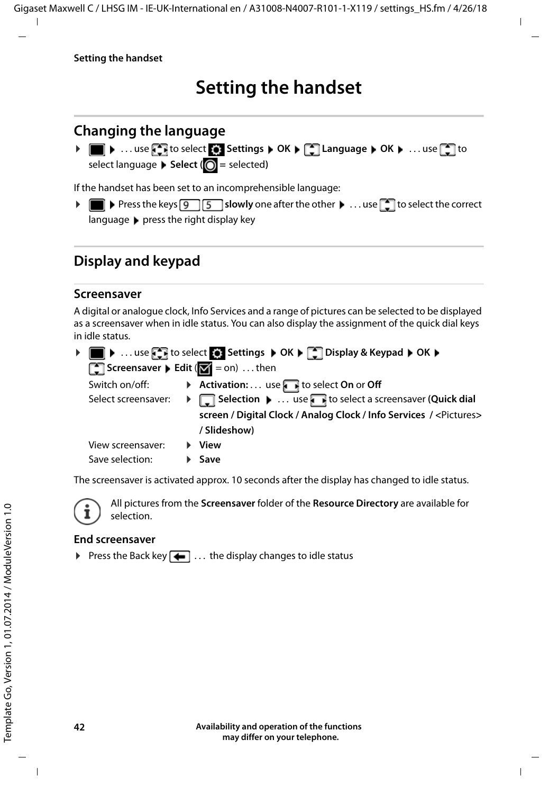### **Setting the handset**

### <span id="page-41-2"></span><span id="page-41-0"></span>**Changing the language**

**▶** ■ ▶ ... use **F** to select **S** Settings ▶ OK ▶ F Language ▶ OK ▶ ... use F to select language **>** Select ( $\bigcirc$  = selected)

<span id="page-41-4"></span>If the handset has been set to an incomprehensible language:

**P P** Press the keys **9 5** slowly one after the other **P** ... use **the select the correct** languagepress the right display key

### <span id="page-41-3"></span>**Display and keypad**

#### <span id="page-41-1"></span>**Screensaver**

A digital or analogue clock, Info Services and a range of pictures can be selected to be displayed as a screensaver when in idle status. You can also display the assignment of the quick dial keys in idle status.

|                                                                         | ▶ ■ ▶  use the to select of Settings ▶ OK ▶ [ ] Display & Keypad ▶ OK ▶       |
|-------------------------------------------------------------------------|-------------------------------------------------------------------------------|
| <b>Screensaver &gt; Edit</b> ( $\boxed{\blacktriangledown}$ = on)  then |                                                                               |
| Switch on/off:                                                          | Activation:  use to select On or Off                                          |
| Select screensaver:                                                     | > Selection •  use in to select a screensaver (Quick dial                     |
|                                                                         | screen / Digital Clock / Analog Clock / Info Services / <pictures></pictures> |
|                                                                         | / Slideshow)                                                                  |
| View screensaver:                                                       | $\blacktriangleright$ View                                                    |
| Save selection:                                                         | $\blacktriangleright$ Save                                                    |

The screensaver is activated approx. 10 seconds after the display has changed to idle status.



All pictures from the **Screensaver** folder of the **Resource Directory** are available for selection.

#### **End screensaver**

Press the Back key  $\leftarrow \dots$  the display changes to idle status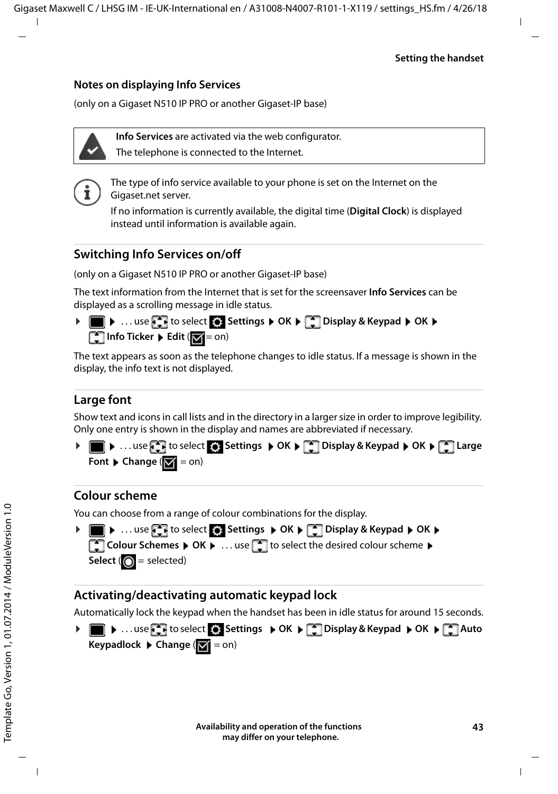#### **Notes on displaying Info Services**

(only on a Gigaset N510 IP PRO or another Gigaset-IP base)

**Info Services** are activated via the web configurator.

The telephone is connected to the Internet.



The type of info service available to your phone is set on the Internet on the Gigaset.net server.

If no information is currently available, the digital time (**Digital Clock**) is displayed instead until information is available again.

#### **Switching Info Services on/off**

(only on a Gigaset N510 IP PRO or another Gigaset-IP base)

The text information from the Internet that is set for the screensaver **Info Services** can be displayed as a scrolling message in idle status.

**▶ ■ ▶ ... use CE** to select S: Settings ▶ OK ▶ C Display & Keypad ▶ OK ▶ **T** Info Ticker **Edit** (**T** = on)

The text appears as soon as the telephone changes to idle status. If a message is shown in the display, the info text is not displayed.

#### <span id="page-42-2"></span>**Large font**

Show text and icons in call lists and in the directory in a larger size in order to improve legibility. Only one entry is shown in the display and names are abbreviated if necessary.

**▶ ■ ▶** ... use  $\Box$  to select  $\odot$  Settings ▶ OK ▶  $\Box$  Display & Keypad ▶ OK ▶  $\Box$  Large **Font Change** ( $\boxed{\blacksquare}$  = on)

#### <span id="page-42-0"></span>**Colour scheme**

You can choose from a range of colour combinations for the display.



#### <span id="page-42-1"></span>**Activating/deactivating automatic keypad lock**

Automatically lock the keypad when the handset has been in idle status for around 15 seconds.

¤. . . use to select **Settings OK Display & Keypad OK Auto Keypadlock Change** ( = on)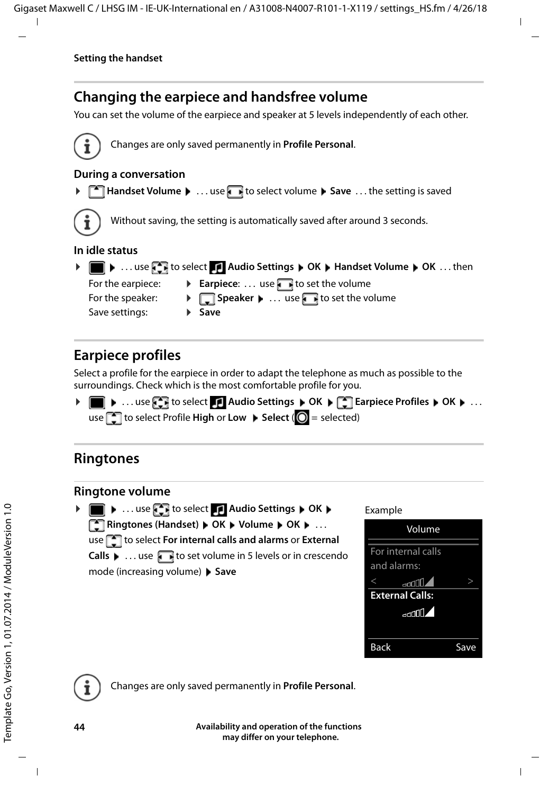### <span id="page-43-0"></span>**Changing the earpiece and handsfree volume**

<span id="page-43-4"></span>You can set the volume of the earpiece and speaker at 5 levels independently of each other.



Changes are only saved permanently in **Profile Personal**.

#### **During a conversation**

**T** Handset Volume  $\blacktriangleright$  ... use **T** to select volume  $\blacktriangleright$  Save ... the setting is saved



Without saving, the setting is automatically saved after around 3 seconds.

#### **In idle status**

**▶ ■ ▶ ... use to select Audio Settings ▶ OK ▶ Handset Volume ▶ OK ... then** For the earpiece:  $\longrightarrow$  **Earpiece**: ... use to set the volume For the speaker:  $\rightarrow \Box$  **Speaker**  $\rightarrow \Box$  use the volume Save settings: Save settings:

### <span id="page-43-1"></span>**Earpiece profiles**

Select a profile for the earpiece in order to adapt the telephone as much as possible to the surroundings. Check which is the most comfortable profile for you.

**▶ ■ ▶ ... use**  $\begin{bmatrix} \bullet \\ \bullet \end{bmatrix}$  **to select Audio Settings ▶ OK ▶**  $\begin{bmatrix} \bullet \\ \bullet \end{bmatrix}$  **Earpiece Profiles ▶ OK ▶ ...** use **the select Profile High or Low > Select (O** = selected)

### <span id="page-43-2"></span>**Ringtones**

#### <span id="page-43-3"></span>**Ringtone volume**

**▶ ■ ▶ ... use to select Audio Settings ▶ OK ▶ T** Ringtones (Handset) **DK DK** DOK **D** OK **D** ... use **the select For internal calls and alarms** or **External Calls**  $\triangleright$  ... use **the set volume in 5 levels or in crescendo** mode (increasing volume) **Save**

#### Example



Changes are only saved permanently in **Profile Personal**.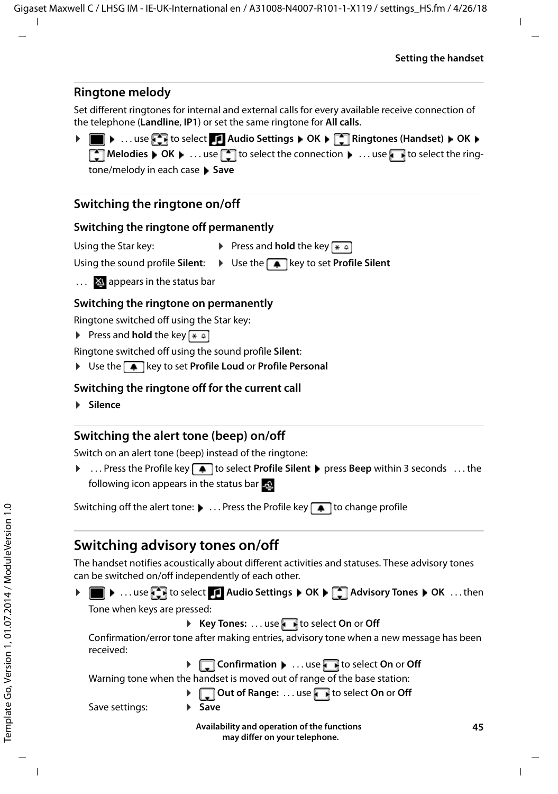#### <span id="page-44-2"></span>**Ringtone melody**

Set different ringtones for internal and external calls for every available receive connection of the telephone (**Landline**, **IP1**) or set the same ringtone for **All calls**.

**▶ ■ ▶ ... use to select** Audio Settings ▶ OK ▶ CA Ringtones (Handset) ▶ OK ▶ **The I Melodies**  $\triangleright$  **OK**  $\triangleright$  ... use  $\blacksquare$  to select the connection  $\triangleright$  ... use  $\blacksquare$  to select the ringtone/melody in each case **Save** 

#### **Switching the ringtone on/off**

#### <span id="page-44-3"></span>**Switching the ringtone off permanently**

Using the Star key: **•** Press and **hold** the key  $* \circ$ 

- Using the sound profile **Silent**:  $\rightarrow$  Use the **A** key to set **Profile Silent**
- ... X appears in the status bar

#### **Switching the ringtone on permanently**

Ringtone switched off using the Star key:

Press and **hold** the key  $* \infty$ 

Ringtone switched off using the sound profile **Silent**:

**▶** Use the  $\boxed{\bullet}$  key to set **Profile Loud** or **Profile Personal** 

#### **Switching the ringtone off for the current call**

¤ **Silence**

#### <span id="page-44-1"></span>**Switching the alert tone (beep) on/off**

Switch on an alert tone (beep) instead of the ringtone:

**▶** . . . Press the Profile key **4** to select **Profile Silent** ▶ press **Beep** within 3 seconds . . . the following icon appears in the status bar

Switching off the alert tone: **1**... Press the Profile key **1** to change profile

#### <span id="page-44-0"></span>**Switching advisory tones on/off**

The handset notifies acoustically about different activities and statuses. These advisory tones can be switched on/off independently of each other.

**▶ ■ ▶ ...use**  $\bullet$  **to select** Audio Settings ▶ OK ▶ ■ Advisory Tones ▶ OK ...then

Tone when keys are pressed:

▶ **Key Tones:** . . . use to select On or Off

Confirmation/error tone after making entries, advisory tone when a new message has been received:

▶ **Q** Confirmation ▶ ... use to select On or Off Warning tone when the handset is moved out of range of the base station: ▶ **Qut of Range:** ... use to select On or Off

Save settings: **B** Save

**Availability and operation of the functions may differ on your telephone.**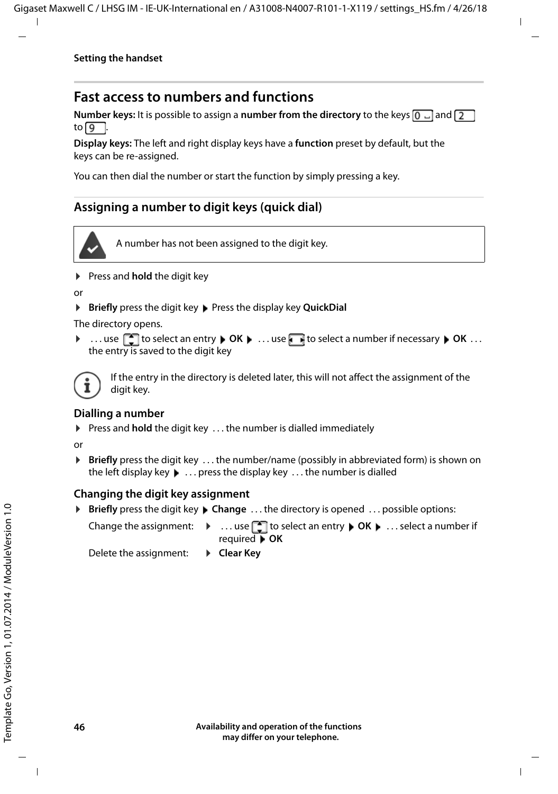#### <span id="page-45-0"></span>**Fast access to numbers and functions**

**Number keys:** It is possible to assign a **number from the directory** to the keys  $[0, \square]$  and  $[2, \square]$ to  $\sqrt{9}$ 

**Display keys:** The left and right display keys have a **function** preset by default, but the keys can be re-assigned.

You can then dial the number or start the function by simply pressing a key.

#### <span id="page-45-1"></span>**Assigning a number to digit keys (quick dial)**



A number has not been assigned to the digit key.

▶ Press and **hold** the digit key

or

**▶ Briefly** press the digit key ▶ Press the display key **QuickDial** 

The directory opens.

**▶ ...use**  $\begin{bmatrix} \bullet \end{bmatrix}$  **to select an entry ▶ OK ▶ ...use beto select a number if necessary ▶ OK ...** the entry is saved to the digit key



If the entry in the directory is deleted later, this will not affect the assignment of the digit key.

#### **Dialling a number**

▶ Press and **hold** the digit key . . . the number is dialled immediately

or

▶ **Briefly** press the digit key . . . the number/name (possibly in abbreviated form) is shown on the left display key. . . press the display key . . . the number is dialled

#### **Changing the digit key assignment**

▶ **Briefly** press the digit key ▶ Change . . . the directory is opened . . . possible options:

Change the assignment:  $\rightarrow \dots$  use  $\Box$  to select an entry  $\rightarrow$  OK  $\rightarrow \dots$  select a number if required **OK**

Delete the assignment: **Exermi**cient **Clear Key**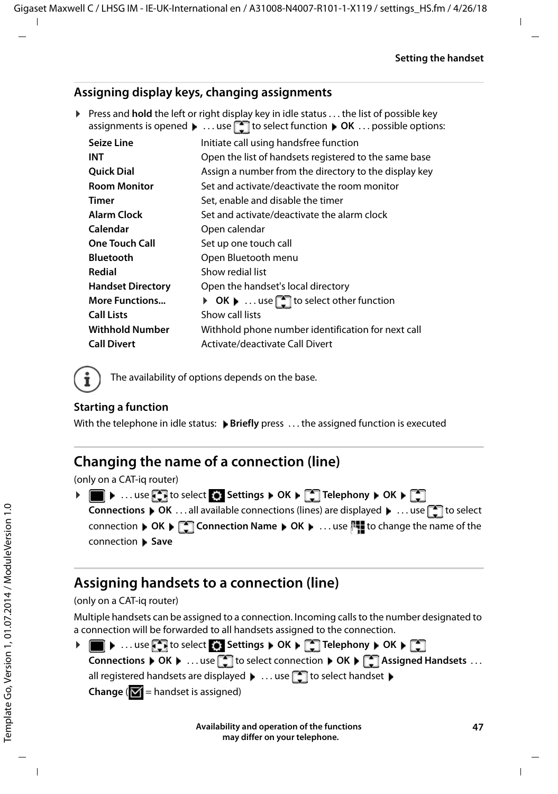#### **Assigning display keys, changing assignments**

▶ Press and **hold** the left or right display key in idle status . . . the list of possible key assignments is opened **b** ... use **the select function <b>b** OK ... possible options:

| <b>Seize Line</b>        | Initiate call using handsfree function                |
|--------------------------|-------------------------------------------------------|
| INT                      | Open the list of handsets registered to the same base |
| <b>Ouick Dial</b>        | Assign a number from the directory to the display key |
| <b>Room Monitor</b>      | Set and activate/deactivate the room monitor          |
| Timer                    | Set, enable and disable the timer                     |
| <b>Alarm Clock</b>       | Set and activate/deactivate the alarm clock           |
| Calendar                 | Open calendar                                         |
| <b>One Touch Call</b>    | Set up one touch call                                 |
| <b>Bluetooth</b>         | Open Bluetooth menu                                   |
| Redial                   | Show redial list                                      |
| <b>Handset Directory</b> | Open the handset's local directory                    |
| <b>More Functions</b>    | ▶ OK ▶  use select other function                     |
| <b>Call Lists</b>        | Show call lists                                       |
| <b>Withhold Number</b>   | Withhold phone number identification for next call    |
| <b>Call Divert</b>       | Activate/deactivate Call Divert                       |

<span id="page-46-1"></span>The availability of options depends on the base.

#### **Starting a function**

Ť

With the telephone in idle status: **Briefly** press ... the assigned function is executed

### **Changing the name of a connection (line)**

(only on a CAT-iq router)

<span id="page-46-2"></span>

| ▶ ■ ▶ use < I to select < Settings ▶ OK ▶ < Telephony ▶ OK ▶ <                                                                          |
|-----------------------------------------------------------------------------------------------------------------------------------------|
| <b>Connections</b> $\triangleright$ OK  all available connections (lines) are displayed $\triangleright$ use $\triangleright$ to select |
| connection ▶ OK ▶ Connection Name ▶ OK ▶  use $\mathbb{N}$ to change the name of the                                                    |
| connection ▶ Save                                                                                                                       |

### <span id="page-46-0"></span>**Assigning handsets to a connection (line)**

#### (only on a CAT-iq router)

Multiple handsets can be assigned to a connection. Incoming calls to the number designated to a connection will be forwarded to all handsets assigned to the connection.

| ▶ ■ ▶  use < ref to select < settings ▶ OK ▶ < Telephony ▶ OK ▶ <                                                             |
|-------------------------------------------------------------------------------------------------------------------------------|
| Connections ▶ OK ▶  use strategies to select connection ▶ OK ▶ San Assigned Handsets                                          |
| all registered handsets are displayed $\blacktriangleright$ use $\lceil \cdot \rceil$ to select handset $\blacktriangleright$ |
| <b>Change</b> ( $\mathbf{V}$ = handset is assigned)                                                                           |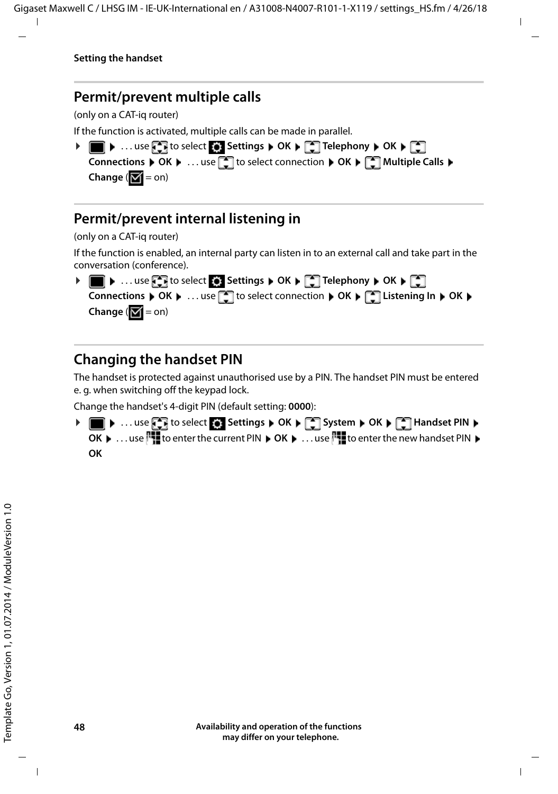#### <span id="page-47-3"></span>**Permit/prevent multiple calls**

(only on a CAT-iq router)

If the function is activated, multiple calls can be made in parallel.

| ▶ ■ ▶ use < I to select < Settings ▶ OK ▶ ۞ Telephony ▶ OK ▶ ۞                                                                                                          |
|-------------------------------------------------------------------------------------------------------------------------------------------------------------------------|
| <b>Connections</b> $\triangleright$ OK $\triangleright$ use <b>T</b> to select connection $\triangleright$ OK $\triangleright$ <b>T</b> Multiple Calls $\triangleright$ |
| Change $\sqrt{N}$ = on)                                                                                                                                                 |

#### <span id="page-47-2"></span>**Permit/prevent internal listening in**

(only on a CAT-iq router)

If the function is enabled, an internal party can listen in to an external call and take part in the conversation (conference).



### <span id="page-47-1"></span><span id="page-47-0"></span>**Changing the handset PIN**

The handset is protected against unauthorised use by a PIN. The handset PIN must be entered e. g. when switching off the keypad lock.

Change the handset's 4-digit PIN (default setting: **0000**):

**▶ ■ ▶ ... use < to select © Settings ▶ OK ▶ COSYstem ▶ OK ▶ CO Handset PIN ▶ OK**  $\blacktriangleright$  ... use  $\begin{bmatrix} 1 \\ 1 \end{bmatrix}$  to enter the current PIN  $\blacktriangleright$  **OK**  $\blacktriangleright$  ... use  $\begin{bmatrix} 1 \\ 1 \end{bmatrix}$  to enter the new handset PIN  $\blacktriangleright$ **OK**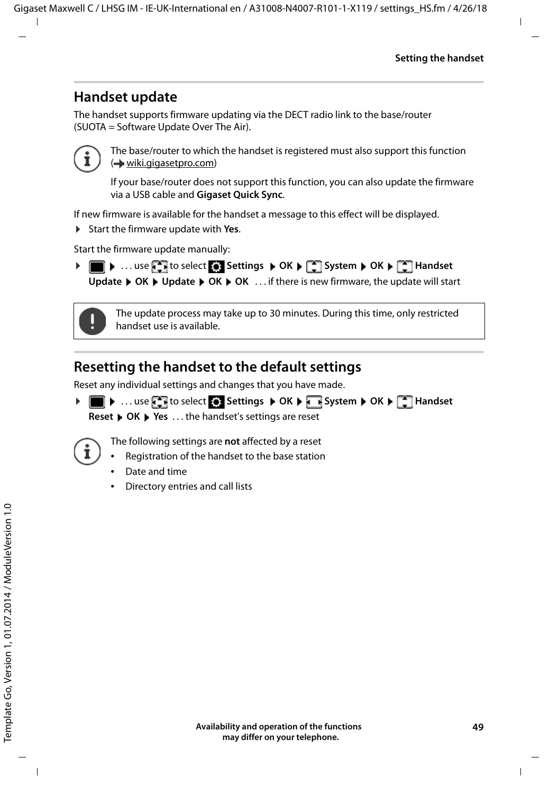### **Handset update**

<span id="page-48-2"></span><span id="page-48-0"></span>The handset supports firmware updating via the DECT radio link to the base/router (SUOTA = Software Update Over The Air).



The base/router to which the handset is registered must also support this function (**+** [wiki.gigasetpro.com\)](http://wiki.gigasetpro.com)

If your base/router does not support this function, you can also update the firmware via a USB cable and **Gigaset Quick Sync**.

If new firmware is available for the handset a message to this effect will be displayed.

▶ Start the firmware update with Yes.

Start the firmware update manually:

**▶ ■ ▶ ... use Settings ▶ OK ▶ System ▶ OK ▶ System ▶ OK ▶ Settings ▶ OK ▶ RES** Update  $\triangleright$  OK  $\triangleright$  Update  $\triangleright$  OK  $\triangleright$  OK  $\ldots$  if there is new firmware, the update will start



The update process may take up to 30 minutes. During this time, only restricted handset use is available.

### <span id="page-48-1"></span>**Resetting the handset to the default settings**

Reset any individual settings and changes that you have made.

**▶ ■ ▶ ... use to select Settings ▶ OK ▶ Bystem ▶ OK ▶ CHANDISET Reset ▶ OK ▶ Yes ... the handset's settings are reset** 



The following settings are **not** affected by a reset

- Registration of the handset to the base station
- Date and time
- Directory entries and call lists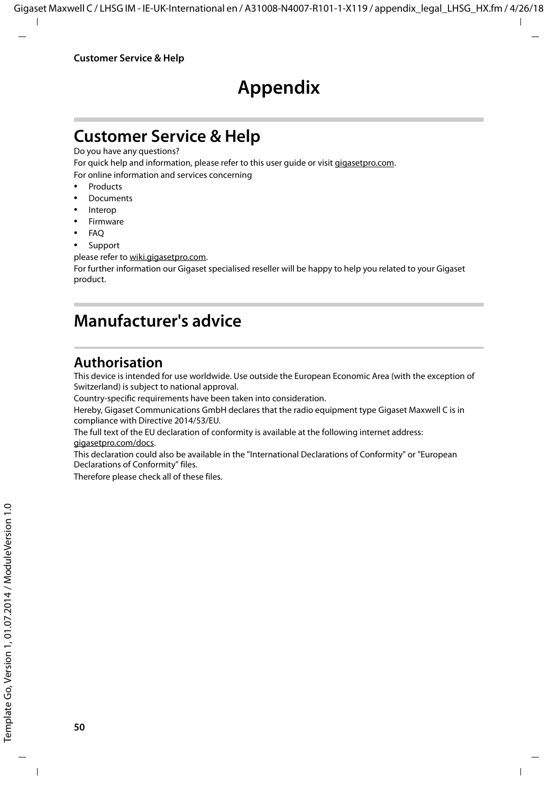### **Appendix**

### <span id="page-49-4"></span><span id="page-49-1"></span><span id="page-49-0"></span>**Customer Service & Help**

Do you have any questions?

For quick help and information, please refer to this user guide or visit [gigasetpro.com](http://www.gigasetpro.com). For online information and services concerning

- **Products**
- Documents
- Interop
- **Firmware**
- $FAO$
- **Support**

please refer to [wiki.gigasetpro.com.](http://wiki.gigasetpro.com)

For further information our Gigaset specialised reseller will be happy to help you related to your Gigaset product.

### <span id="page-49-5"></span><span id="page-49-2"></span>**Manufacturer's advice**

### <span id="page-49-3"></span>**Authorisation**

This device is intended for use worldwide. Use outside the European Economic Area (with the exception of Switzerland) is subject to national approval.

Country-specific requirements have been taken into consideration.

Hereby, Gigaset Communications GmbH declares that the radio equipment type Gigaset Maxwell C is in compliance with Directive 2014/53/EU.

The full text of the EU declaration of conformity is available at the following internet address: [gigasetpro.com/docs.](http://www.gigasetpro.com/docs)

This declaration could also be available in the "International Declarations of Conformity" or "European Declarations of Conformity" files.

Therefore please check all of these files.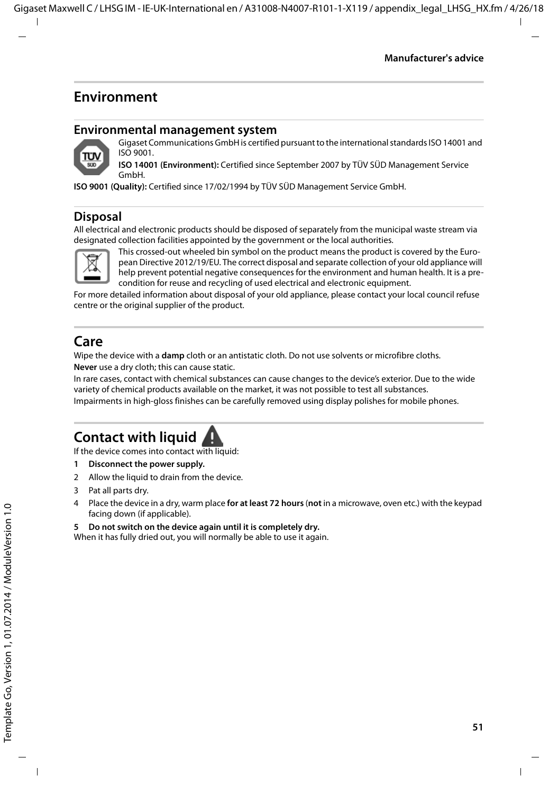### <span id="page-50-3"></span>**Environment**

#### **Environmental management system**



Gigaset Communications GmbH is certified pursuant to the international standards ISO 14001 and ISO 9001.

**ISO 14001 (Environment):** Certified since September 2007 by TÜV SÜD Management Service GmbH.

**ISO 9001 (Quality):** Certified since 17/02/1994 by TÜV SÜD Management Service GmbH.

#### <span id="page-50-2"></span>**Disposal**

All electrical and electronic products should be disposed of separately from the municipal waste stream via designated collection facilities appointed by the government or the local authorities.



This crossed-out wheeled bin symbol on the product means the product is covered by the European Directive 2012/19/EU. The correct disposal and separate collection of your old appliance will help prevent potential negative consequences for the environment and human health. It is a precondition for reuse and recycling of used electrical and electronic equipment.

For more detailed information about disposal of your old appliance, please contact your local council refuse centre or the original supplier of the product.

### <span id="page-50-0"></span>**Care**

Wipe the device with a **damp** cloth or an antistatic cloth. Do not use solvents or microfibre cloths. **Never** use a dry cloth; this can cause static.

In rare cases, contact with chemical substances can cause changes to the device's exterior. Due to the wide variety of chemical products available on the market, it was not possible to test all substances.

Impairments in high-gloss finishes can be carefully removed using display polishes for mobile phones.

### <span id="page-50-1"></span>**Contact with liquid**

If the device comes into contact with liquid:

- **1 Disconnect the power supply.**
- 2 Allow the liquid to drain from the device.
- 3 Pat all parts dry.
- 4 Place the device in a dry, warm place **for at least 72 hours** (**not** in a microwave, oven etc.) with the keypad facing down (if applicable).
- **5 Do not switch on the device again until it is completely dry.**

When it has fully dried out, you will normally be able to use it again.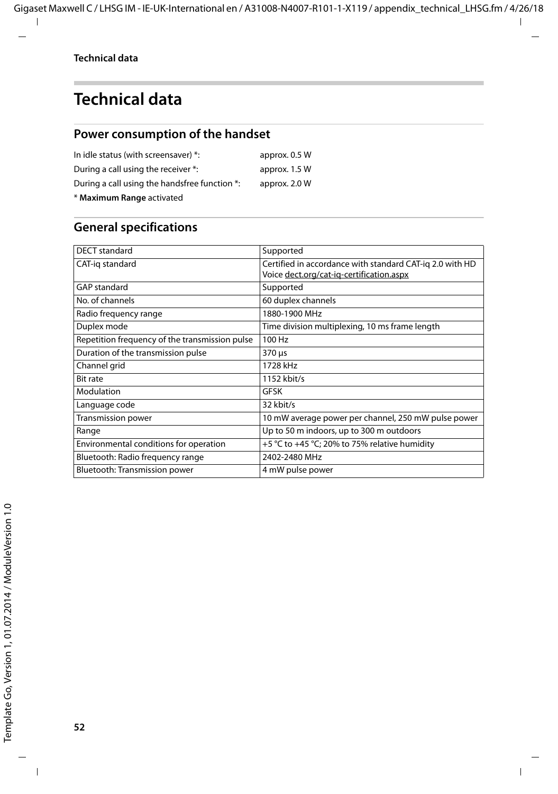<span id="page-51-2"></span>**COL** 

### <span id="page-51-0"></span>**Technical data**

#### <span id="page-51-1"></span>**Power consumption of the handset**

| In idle status (with screensaver) *:          | approx. 0.5 W |
|-----------------------------------------------|---------------|
| During a call using the receiver *:           | approx. 1.5 W |
| During a call using the handsfree function *: | approx. 2.0 W |
| * Maximum Range activated                     |               |

### **General specifications**

| DECT standard                                  | Supported                                                                                            |
|------------------------------------------------|------------------------------------------------------------------------------------------------------|
| CAT-ig standard                                | Certified in accordance with standard CAT-ig 2.0 with HD<br>Voice dect.org/cat-ig-certification.aspx |
| GAP standard                                   | Supported                                                                                            |
| No. of channels                                | 60 duplex channels                                                                                   |
| Radio freguency range                          | 1880-1900 MHz                                                                                        |
| Duplex mode                                    | Time division multiplexing, 10 ms frame length                                                       |
| Repetition frequency of the transmission pulse | 100 Hz                                                                                               |
| Duration of the transmission pulse             | 370 µs                                                                                               |
| Channel grid                                   | 1728 kHz                                                                                             |
| <b>Bit rate</b>                                | 1152 kbit/s                                                                                          |
| Modulation                                     | GFSK                                                                                                 |
| Language code                                  | 32 kbit/s                                                                                            |
| Transmission power                             | 10 mW average power per channel, 250 mW pulse power                                                  |
| Range                                          | Up to 50 m indoors, up to 300 m outdoors                                                             |
| Environmental conditions for operation         | +5 °C to +45 °C; 20% to 75% relative humidity                                                        |
| Bluetooth: Radio frequency range               | 2402-2480 MHz                                                                                        |
| Bluetooth: Transmission power                  | 4 mW pulse power                                                                                     |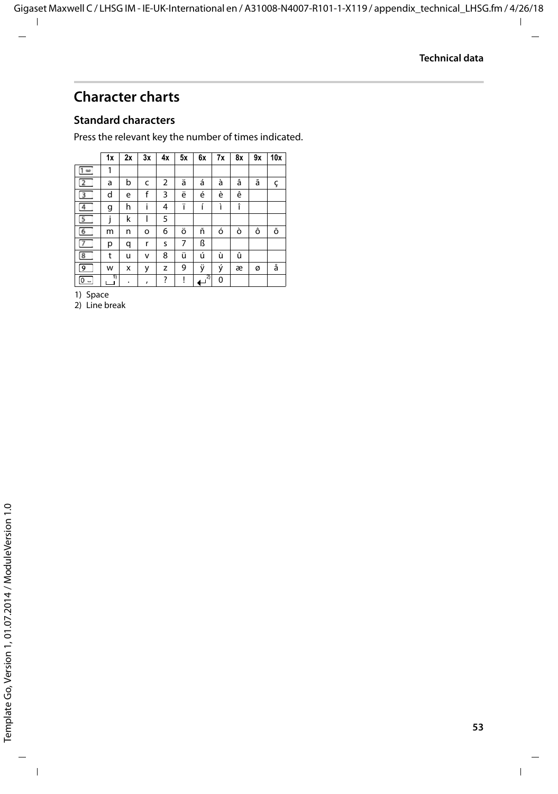### <span id="page-52-0"></span>**Character charts**

#### **Standard characters**

Press the relevant key the number of times indicated.

|                                         | 1x | 2x | 3x                 | 4x | 5x | 6x | 7x | 8x | 9x | 10x |
|-----------------------------------------|----|----|--------------------|----|----|----|----|----|----|-----|
| $1 - \omega$                            | 1  |    |                    |    |    |    |    |    |    |     |
| $\overline{2}$                          | a  | b  | c                  | 2  | ä  | á  | à  | â  | ã  | ç   |
| $\overline{3}$                          | d  | e  | f                  | 3  | ë  | é  | è  | ê  |    |     |
| $\overline{4}$                          | g  | h  | i                  | 4  | ï  | í  | ì  | î  |    |     |
| 5                                       | i  | k  |                    | 5  |    |    |    |    |    |     |
| $6\overline{6}$                         | m  | n  | o                  | 6  | ö  | ñ  | ó  | ò  | ô  | õ   |
| 7                                       | р  | q  | r                  | S  | 7  | ß  |    |    |    |     |
| $\overline{\mathbf{8}}$                 | t  | u  | v                  | 8  | ü  | ú  | ù  | û  |    |     |
| $\overline{9}$                          | w  | x  | у                  | z  | 9  | ÿ  | ý  | æ  | ø  | å   |
| $\overline{0}$ $\overline{\phantom{0}}$ | 11 | ٠  | $\pmb{\mathsf{r}}$ | ?  | Ţ  | 2) | 0  |    |    |     |

1) Space

2) Line break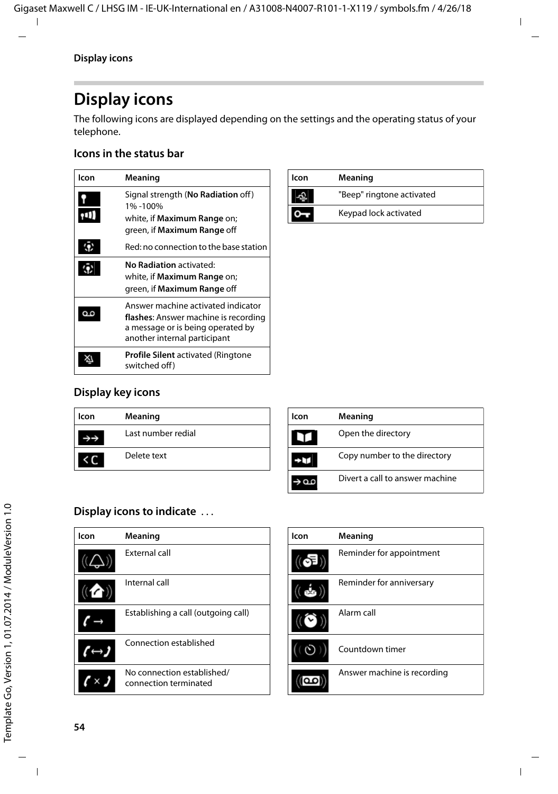### <span id="page-53-3"></span><span id="page-53-1"></span>**Display icons**

The following icons are displayed depending on the settings and the operating status of your telephone.

#### <span id="page-53-0"></span>**Icons in the status bar**

<span id="page-53-5"></span>

| lcon | Meaning                                                                                                                                         |
|------|-------------------------------------------------------------------------------------------------------------------------------------------------|
|      | Signal strength (No Radiation off)<br>1%-100%<br>white, if <b>Maximum Range</b> on;<br>green, if Maximum Range off                              |
|      | Red: no connection to the base station                                                                                                          |
| G    | No Radiation activated:<br>white, if <b>Maximum Range</b> on;<br>green, if Maximum Range off                                                    |
|      | Answer machine activated indicator<br>flashes: Answer machine is recording<br>a message or is being operated by<br>another internal participant |
|      | <b>Profile Silent</b> activated (Ringtone<br>switched off)                                                                                      |

| lcon | Meaning                   |
|------|---------------------------|
|      | "Beep" ringtone activated |
|      | Keypad lock activated     |

#### <span id="page-53-2"></span>**Display key icons**

| lcon | Meaning            |
|------|--------------------|
|      | Last number redial |
|      | Delete text        |

| lcon | Meaning                         |
|------|---------------------------------|
| ۱T۱  | Open the directory              |
|      | Copy number to the directory    |
|      | Divert a call to answer machine |

#### <span id="page-53-4"></span>**Display icons to indicate** . . .

| lcon | Meaning                                             |
|------|-----------------------------------------------------|
|      | <b>External call</b>                                |
|      | Internal call                                       |
|      | Establishing a call (outgoing call)                 |
|      | Connection established                              |
|      | No connection established/<br>connection terminated |

| lcon | Meaning                     |
|------|-----------------------------|
|      | Reminder for appointment    |
| ويوم | Reminder for anniversary    |
|      | Alarm call                  |
|      | Countdown timer             |
|      | Answer machine is recording |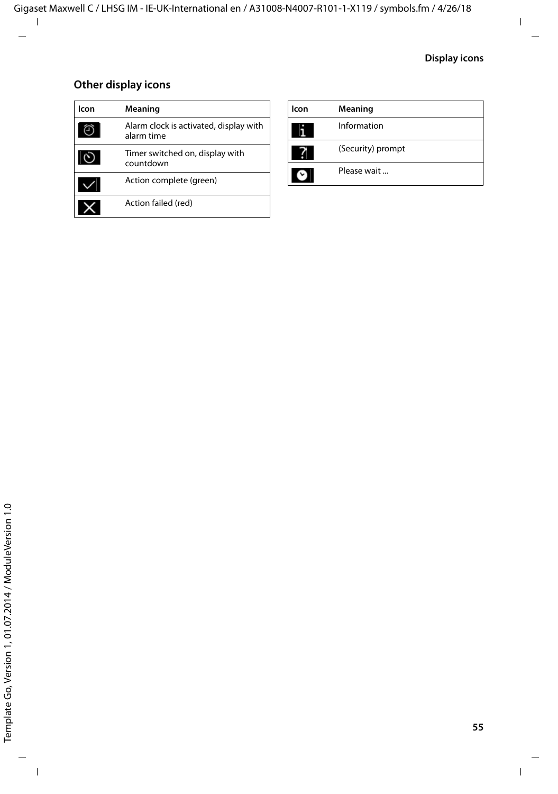#### **Other display icons**

| lcon | Meaning                                              | lco |
|------|------------------------------------------------------|-----|
|      | Alarm clock is activated, display with<br>alarm time |     |
|      | Timer switched on, display with<br>countdown         |     |
|      | Action complete (green)                              |     |
|      | Action failed (red)                                  |     |
|      |                                                      |     |

| lcon | Meaning           |
|------|-------------------|
|      | Information       |
|      | (Security) prompt |
|      | Please wait       |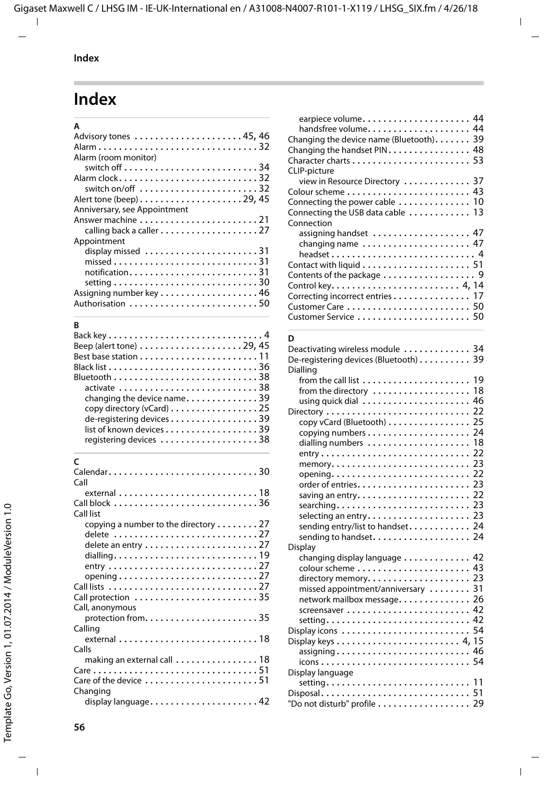### <span id="page-55-0"></span>**Index**

| A                                                                    |  |
|----------------------------------------------------------------------|--|
| Advisory tones 45, 46                                                |  |
| Alarm32                                                              |  |
| Alarm (room monitor)                                                 |  |
| switch off $\ldots \ldots \ldots \ldots \ldots \ldots \ldots \ldots$ |  |
| Alarm clock32                                                        |  |
| switch on/off $\ldots \ldots \ldots \ldots \ldots \ldots \ldots 32$  |  |
|                                                                      |  |
| Anniversary, see Appointment                                         |  |
|                                                                      |  |
| calling back a caller 27                                             |  |
| Appointment                                                          |  |
|                                                                      |  |
|                                                                      |  |
| notification31                                                       |  |
|                                                                      |  |
|                                                                      |  |
| Authorisation 50                                                     |  |
|                                                                      |  |

#### **B**

| Beep (alert tone) $\dots\dots\dots\dots\dots\dots$ 29, 45 |  |
|-----------------------------------------------------------|--|
|                                                           |  |
|                                                           |  |
|                                                           |  |
| activate 38                                               |  |
| changing the device name39                                |  |
| copy directory (vCard) 25                                 |  |
| de-registering devices 39                                 |  |
| list of known devices 39                                  |  |
| registering devices 38                                    |  |
|                                                           |  |

### **C**

| Call                                                                        |
|-----------------------------------------------------------------------------|
|                                                                             |
| Call block 36                                                               |
| Call list                                                                   |
|                                                                             |
| copying a number to the directory $\dots \dots 27$                          |
| delete 27                                                                   |
| delete an entry $\dots\dots\dots\dots\dots\dots\dots$ 27                    |
|                                                                             |
|                                                                             |
|                                                                             |
| opening $\ldots \ldots \ldots \ldots \ldots \ldots \ldots \ldots \ldots 27$ |
|                                                                             |
|                                                                             |
| Call, anonymous                                                             |
| protection from35                                                           |
|                                                                             |
| Calling                                                                     |
|                                                                             |
| Calls                                                                       |
| making an external call $\ldots \ldots \ldots \ldots \ldots 18$             |
|                                                                             |
| Care of the device 51                                                       |
|                                                                             |
| Changing                                                                    |
| display language42                                                          |
|                                                                             |

| earpiece volume 44                                                        |  |
|---------------------------------------------------------------------------|--|
|                                                                           |  |
| Changing the device name (Bluetooth). 39                                  |  |
| Changing the handset PIN 48                                               |  |
|                                                                           |  |
| CLIP-picture                                                              |  |
| view in Resource Directory  37                                            |  |
|                                                                           |  |
| Connecting the power cable $\ldots \ldots \ldots \ldots$ 10               |  |
| Connecting the USB data cable  13                                         |  |
| Connection                                                                |  |
| assigning handset  47                                                     |  |
| changing name  47                                                         |  |
| headset 4                                                                 |  |
| Contact with liquid $\ldots \ldots \ldots \ldots \ldots \ldots \ldots 51$ |  |
|                                                                           |  |
|                                                                           |  |
|                                                                           |  |
| Correcting incorrect entries 17                                           |  |
|                                                                           |  |
|                                                                           |  |
|                                                                           |  |

#### **D**

| Deactivating wireless module  34<br>De-registering devices (Bluetooth) 39<br>Dialling                                             |  |
|-----------------------------------------------------------------------------------------------------------------------------------|--|
| from the directory  18                                                                                                            |  |
| copy vCard (Bluetooth) 25<br>dialling numbers  18<br>selecting an entry 23<br>sending entry/list to handset 24                    |  |
| sending to handset 24                                                                                                             |  |
| <b>Display</b><br>changing display language 42<br>missed appointment/anniversary  31<br>network mailbox message. 26<br>setting 42 |  |
| Display icons  54                                                                                                                 |  |
| Display language<br>"Do not disturb" profile 29                                                                                   |  |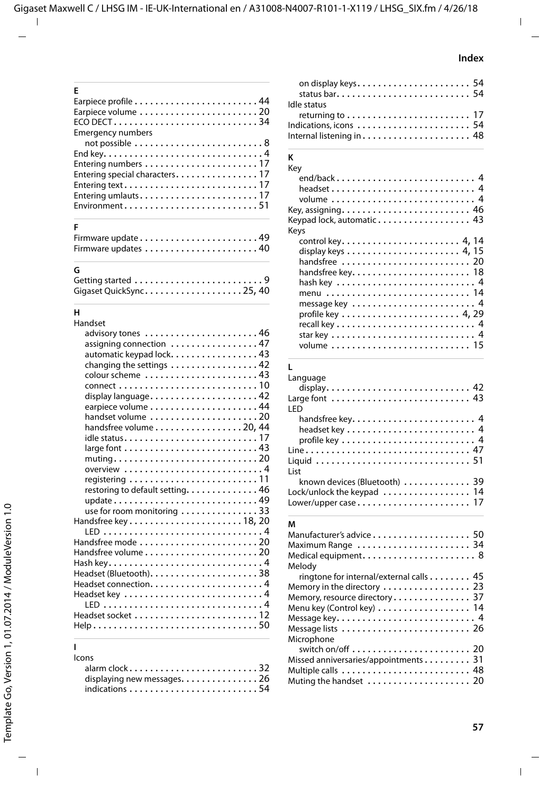| F                             |
|-------------------------------|
|                               |
|                               |
| $ECO$ DECT34                  |
| <b>Emergency numbers</b>      |
|                               |
|                               |
|                               |
| Entering special characters17 |
|                               |
| Entering umlauts17            |
| Environment51                 |
|                               |

#### **F**

| Firmware update 49 |  |  |  |  |  |  |  |  |  |  |  |  |
|--------------------|--|--|--|--|--|--|--|--|--|--|--|--|
|                    |  |  |  |  |  |  |  |  |  |  |  |  |

#### **G**

| Gigaset QuickSync25, 40 |  |  |  |  |  |  |  |  |  |
|-------------------------|--|--|--|--|--|--|--|--|--|

#### **H**

| Handset                                                                           |
|-----------------------------------------------------------------------------------|
| advisory tones  46                                                                |
| assigning connection  47                                                          |
| automatic keypad lock. 43                                                         |
| changing the settings 42                                                          |
|                                                                                   |
|                                                                                   |
| display language42                                                                |
|                                                                                   |
|                                                                                   |
| handset volume 20                                                                 |
| handsfree volume $\dots\dots\dots\dots\dots$ . 20, 44                             |
|                                                                                   |
|                                                                                   |
| $muting \ldots \ldots \ldots \ldots \ldots \ldots \ldots \ldots \ldots \ldots 20$ |
| overview 4                                                                        |
|                                                                                   |
| restoring to default setting. 46                                                  |
| update49                                                                          |
| use for room monitoring 33                                                        |
|                                                                                   |
|                                                                                   |
| Handsfree mode 20                                                                 |
|                                                                                   |
|                                                                                   |
|                                                                                   |
|                                                                                   |
|                                                                                   |
|                                                                                   |
|                                                                                   |
|                                                                                   |
|                                                                                   |

#### **I**

#### Icons alarm clock . . . . . . . . . . . . . . . . . . . . . . . . . [32](#page-31-4) displaying new messages. . . . . . . . . . . . . . [26](#page-25-3) indications . . . . . . . . . . . . . . . . . . . . . . . . . [54](#page-53-4)

| on display keys 54     |  |
|------------------------|--|
|                        |  |
| Idle status            |  |
|                        |  |
| Indications, icons  54 |  |
|                        |  |

#### **K**

| Key                                                                                                                                       |  |
|-------------------------------------------------------------------------------------------------------------------------------------------|--|
| end/back 4<br>headset 4                                                                                                                   |  |
| Key, assigning 46<br>Keypad lock, automatic 43                                                                                            |  |
| Keys<br>display keys $\dots \dots \dots \dots \dots \dots \dots$ 4, 15<br>handsfree  20<br>handsfree key 18<br>menu  14<br>message key  4 |  |
| г<br>Language<br>Large font  43<br><b>IFD</b><br>handsfree key 4                                                                          |  |

#### profile key . . . . . . . . . . . . . . . . . . . . . . . . . . [4](#page-3-14) Line . . . . . . . . . . . . . . . . . . . . . . . . . . . . . . . . [47](#page-46-2) Liquid . . . . . . . . . . . . . . . . . . . . . . . . . . . . . . [51](#page-50-1) List known devices (Bluetooth) . . . . . . . . . . . . . [39](#page-38-2) Lock/unlock the keypad . . . . . . . . . . . . . . . . [14](#page-13-4) Lower/upper case . . . . . . . . . . . . . . . . . . . . . . [17](#page-16-5)

#### **M**

| Manufacturer's advice 50                |
|-----------------------------------------|
| Maximum Range  34                       |
| Medical equipment 8                     |
| Melody                                  |
| ringtone for internal/external calls 45 |
| Memory in the directory  23             |
| Memory, resource directory 37           |
| Menu key (Control key)  14              |
|                                         |
|                                         |
| Microphone                              |
|                                         |
| Missed anniversaries/appointments 31    |
|                                         |
| Muting the handset  20                  |
|                                         |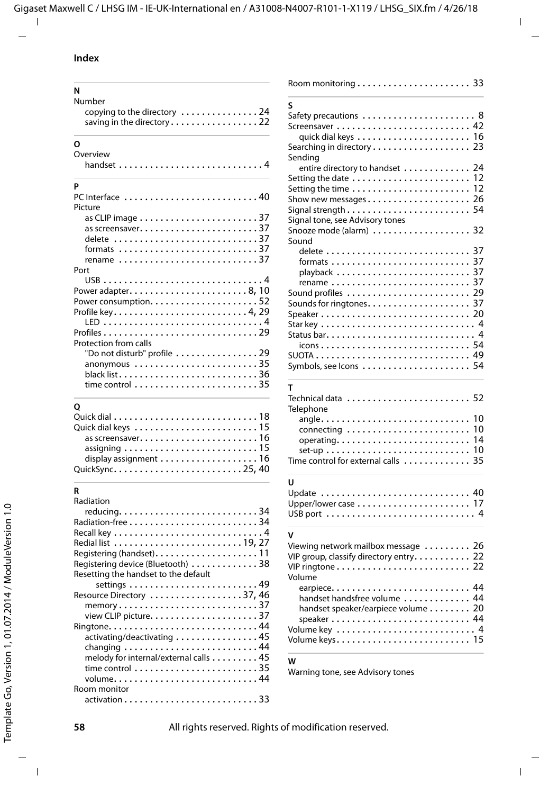#### **Index**

| N                                                                                                     |
|-------------------------------------------------------------------------------------------------------|
| Number<br>copying to the directory $\dots\dots\dots\dots\dots$<br>saving in the directory22           |
| O                                                                                                     |
| Overview                                                                                              |
| P                                                                                                     |
| PC Interface 40<br>Picture                                                                            |
| delete 37<br>formats $\ldots \ldots \ldots \ldots \ldots \ldots \ldots \ldots \ldots 37$<br>rename 37 |
| Port                                                                                                  |
| Power consumption. $\ldots \ldots \ldots \ldots \ldots \ldots 52$<br>Protection from calls            |
| "Do not disturb" profile $\ldots \ldots \ldots \ldots \ldots 29$<br>anonymous 35                      |

#### **Q**

| assigning $\ldots \ldots \ldots \ldots \ldots \ldots \ldots \ldots 15$ |
|------------------------------------------------------------------------|
| display assignment $\ldots \ldots \ldots \ldots \ldots$ . 16           |
|                                                                        |

| S                                                                             |
|-------------------------------------------------------------------------------|
| Safety precautions  8                                                         |
| Screensaver  42                                                               |
| quick dial keys  16                                                           |
| Searching in directory 23                                                     |
| Sending                                                                       |
| 24<br>entire directory to handset                                             |
| Setting the date<br>12                                                        |
| 12<br>Setting the time                                                        |
| Show new messages 26                                                          |
| 54                                                                            |
| Signal tone, see Advisory tones                                               |
| Snooze mode (alarm) $\dots\dots\dots\dots\dots$ 32                            |
| Sound                                                                         |
|                                                                               |
|                                                                               |
| playback  37                                                                  |
| rename  37                                                                    |
| Sound profiles  29                                                            |
|                                                                               |
|                                                                               |
| Starkey  4                                                                    |
|                                                                               |
|                                                                               |
|                                                                               |
|                                                                               |
| т                                                                             |
|                                                                               |
| Telephone                                                                     |
| angle<br>10                                                                   |
| connecting<br>10                                                              |
| 14<br>operating                                                               |
| 10<br>$set-up \ldots \ldots \ldots \ldots \ldots \ldots \ldots \ldots \ldots$ |
| 35<br>Time control for external calls $\ldots \ldots \ldots$                  |
| U                                                                             |
| Update  40                                                                    |
|                                                                               |

#### **V**

| Viewing network mailbox message  26<br>VIP group, classify directory entry 22<br>VIP ringtone 22 |  |
|--------------------------------------------------------------------------------------------------|--|
| Volume                                                                                           |  |
| earpiece 44                                                                                      |  |
| handset handsfree volume  44                                                                     |  |
| handset speaker/earpiece volume 20                                                               |  |
| speaker 44                                                                                       |  |
|                                                                                                  |  |
| Volume keys 15                                                                                   |  |

USB port . . . . . . . . . . . . . . . . . . . . . . . . . . . . . [4](#page-3-15)

#### **W**

[Warning tone, see Advisory tones](#page-45-0)